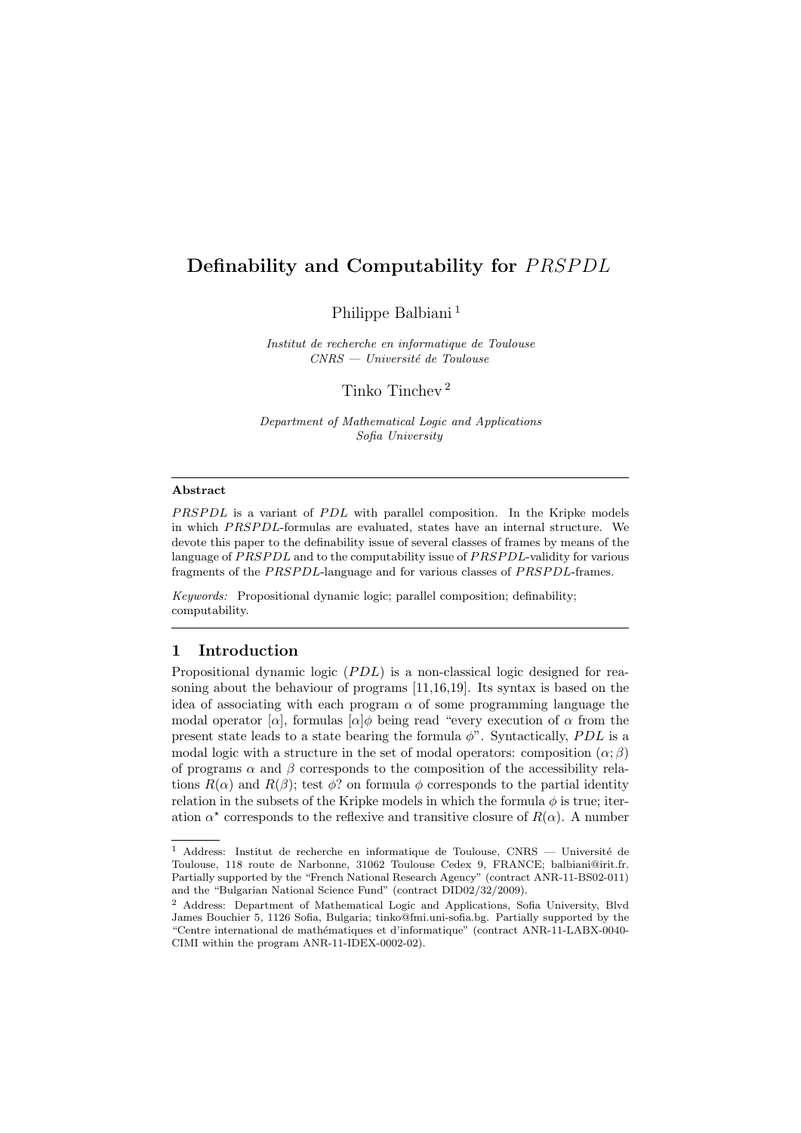# Definability and Computability for PRSPDL

Philippe Balbiani<sup>[1](#page-0-0)</sup>

Institut de recherche en informatique de Toulouse  $CNRS - University$ é de Toulouse

Tinko Tinchev [2](#page-0-1)

Department of Mathematical Logic and Applications Sofia University

#### Abstract

 $PRSPDL$  is a variant of  $PDL$  with parallel composition. In the Kripke models in which PRSPDL-formulas are evaluated, states have an internal structure. We devote this paper to the definability issue of several classes of frames by means of the language of PRSPDL and to the computability issue of PRSPDL-validity for various fragments of the PRSPDL-language and for various classes of PRSPDL-frames.

Keywords: Propositional dynamic logic; parallel composition; definability; computability.

# 1 Introduction

Propositional dynamic logic  $(PDL)$  is a non-classical logic designed for reasoning about the behaviour of programs [\[11,](#page-16-0)[16,](#page-16-1)[19\]](#page-16-2). Its syntax is based on the idea of associating with each program  $\alpha$  of some programming language the modal operator  $[\alpha]$ , formulas  $[\alpha]\phi$  being read "every execution of  $\alpha$  from the present state leads to a state bearing the formula  $\phi$ ". Syntactically, *PDL* is a modal logic with a structure in the set of modal operators: composition  $(\alpha; \beta)$ of programs  $\alpha$  and  $\beta$  corresponds to the composition of the accessibility relations  $R(\alpha)$  and  $R(\beta)$ ; test  $\phi$ ? on formula  $\phi$  corresponds to the partial identity relation in the subsets of the Kripke models in which the formula  $\phi$  is true; iteration  $\alpha^*$  corresponds to the reflexive and transitive closure of  $R(\alpha)$ . A number

<span id="page-0-0"></span> $^{\rm 1}$  Address: Institut de recherche en informatique de Toulouse, CNRS — Université de Toulouse, 118 route de Narbonne, 31062 Toulouse Cedex 9, FRANCE; balbiani@irit.fr. Partially supported by the "French National Research Agency" (contract ANR-11-BS02-011) and the "Bulgarian National Science Fund" (contract DID02/32/2009).

<span id="page-0-1"></span><sup>2</sup> Address: Department of Mathematical Logic and Applications, Sofia University, Blvd James Bouchier 5, 1126 Sofia, Bulgaria; tinko@fmi.uni-sofia.bg. Partially supported by the "Centre international de math´ematiques et d'informatique" (contract ANR-11-LABX-0040- CIMI within the program ANR-11-IDEX-0002-02).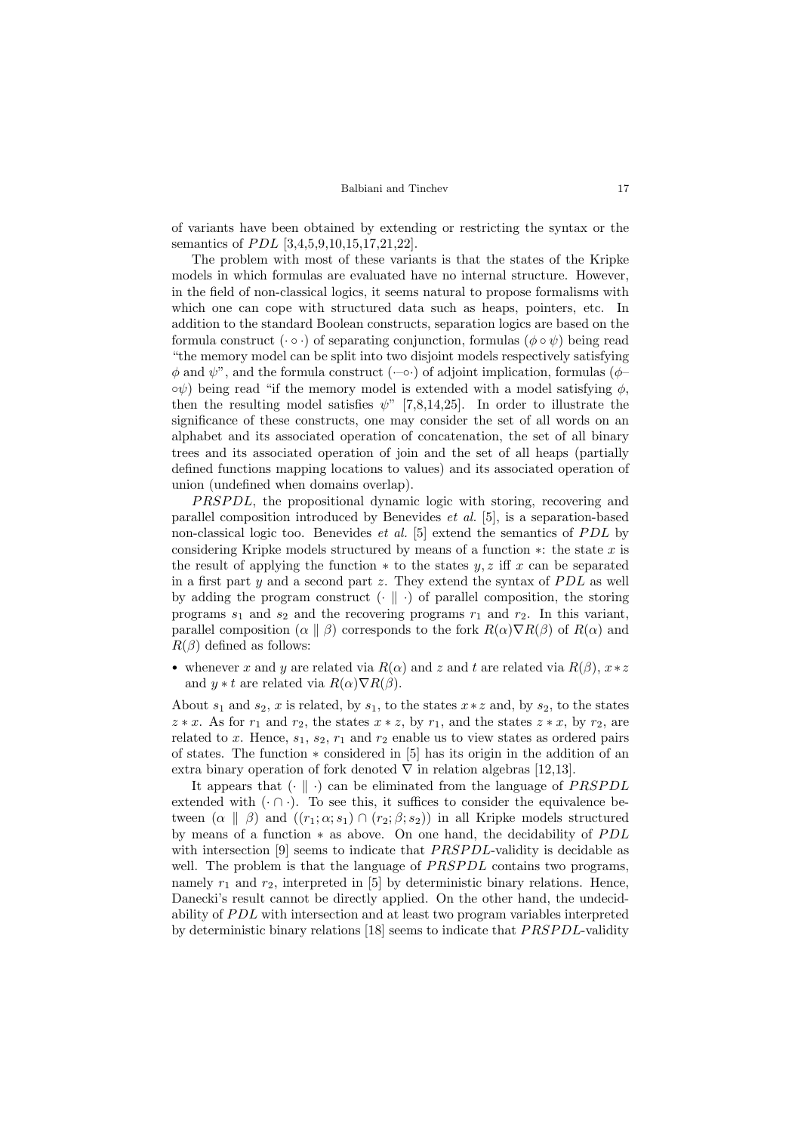of variants have been obtained by extending or restricting the syntax or the semantics of *PDL* [\[3](#page-16-3)[,4,](#page-16-4)[5,](#page-16-5)[9,](#page-16-6)[10](#page-16-7)[,15,](#page-16-8)[17](#page-16-9)[,21](#page-17-0)[,22\]](#page-17-1).

The problem with most of these variants is that the states of the Kripke models in which formulas are evaluated have no internal structure. However, in the field of non-classical logics, it seems natural to propose formalisms with which one can cope with structured data such as heaps, pointers, etc. In addition to the standard Boolean constructs, separation logics are based on the formula construct  $(\cdot \circ \cdot)$  of separating conjunction, formulas  $(\phi \circ \psi)$  being read "the memory model can be split into two disjoint models respectively satisfying  $\phi$  and  $\psi$ <sup>"</sup>, and the formula construct ( $\neg$ • $\phi$ ) of adjoint implication, formulas ( $\phi$  $\circ \psi$ ) being read "if the memory model is extended with a model satisfying  $\phi$ , then the resulting model satisfies  $\psi$ " [\[7,](#page-16-10)[8,](#page-16-11)[14](#page-16-12)[,25\]](#page-17-2). In order to illustrate the significance of these constructs, one may consider the set of all words on an alphabet and its associated operation of concatenation, the set of all binary trees and its associated operation of join and the set of all heaps (partially defined functions mapping locations to values) and its associated operation of union (undefined when domains overlap).

*PRSPDL*, the propositional dynamic logic with storing, recovering and parallel composition introduced by Benevides et al. [\[5\]](#page-16-5), is a separation-based non-classical logic too. Benevides *et al.* [\[5\]](#page-16-5) extend the semantics of  $PDL$  by considering Kripke models structured by means of a function  $\ast$ : the state x is the result of applying the function  $*$  to the states  $y, z$  iff x can be separated in a first part  $y$  and a second part  $z$ . They extend the syntax of  $PDL$  as well by adding the program construct  $\left(\cdot \parallel \cdot\right)$  of parallel composition, the storing programs  $s_1$  and  $s_2$  and the recovering programs  $r_1$  and  $r_2$ . In this variant, parallel composition ( $\alpha \parallel \beta$ ) corresponds to the fork  $R(\alpha)\nabla R(\beta)$  of  $R(\alpha)$  and  $R(\beta)$  defined as follows:

• whenever x and y are related via  $R(\alpha)$  and z and t are related via  $R(\beta)$ ,  $x \ast z$ and  $y * t$  are related via  $R(\alpha) \nabla R(\beta)$ .

About  $s_1$  and  $s_2$ , x is related, by  $s_1$ , to the states  $x * z$  and, by  $s_2$ , to the states  $z * x$ . As for  $r_1$  and  $r_2$ , the states  $x * z$ , by  $r_1$ , and the states  $z * x$ , by  $r_2$ , are related to x. Hence,  $s_1$ ,  $s_2$ ,  $r_1$  and  $r_2$  enable us to view states as ordered pairs of states. The function ∗ considered in [\[5\]](#page-16-5) has its origin in the addition of an extra binary operation of fork denoted  $\nabla$  in relation algebras [\[12,](#page-16-13)[13\]](#page-16-14).

It appears that  $(\cdot \parallel \cdot)$  can be eliminated from the language of *PRSPDL* extended with  $(\cdot \cap \cdot)$ . To see this, it suffices to consider the equivalence between  $(\alpha \parallel \beta)$  and  $((r_1; \alpha; s_1) \cap (r_2; \beta; s_2))$  in all Kripke models structured by means of a function  $*$  as above. On one hand, the decidability of  $PDL$ with intersection [\[9\]](#page-16-6) seems to indicate that  $PRSPDL$ -validity is decidable as well. The problem is that the language of  $PRSPDL$  contains two programs, namely  $r_1$  and  $r_2$ , interpreted in [\[5\]](#page-16-5) by deterministic binary relations. Hence, Danecki's result cannot be directly applied. On the other hand, the undecidability of PDL with intersection and at least two program variables interpreted by deterministic binary relations  $[18]$  seems to indicate that  $PRSPDL$ -validity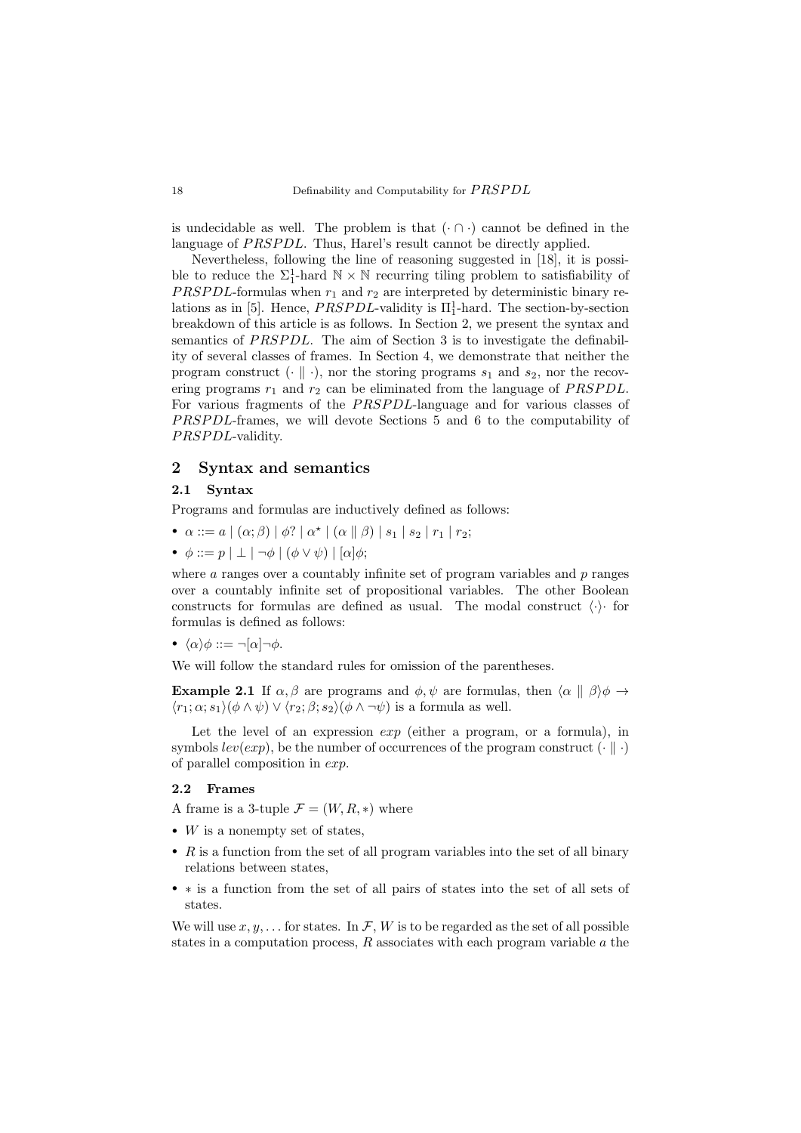is undecidable as well. The problem is that  $(·) \cap \cdot$  cannot be defined in the language of *PRSPDL*. Thus, Harel's result cannot be directly applied.

Nevertheless, following the line of reasoning suggested in [\[18\]](#page-16-15), it is possible to reduce the  $\Sigma_1^1$ -hard  $\mathbb{N} \times \mathbb{N}$  recurring tiling problem to satisfiability of *PRSPDL*-formulas when  $r_1$  and  $r_2$  are interpreted by deterministic binary re-lations as in [\[5\]](#page-16-5). Hence,  $PRSPDL$ -validity is  $\Pi_1^1$ -hard. The section-by-section breakdown of this article is as follows. In Section [2,](#page-2-0) we present the syntax and semantics of PRSPDL. The aim of Section [3](#page-4-0) is to investigate the definability of several classes of frames. In Section [4,](#page-6-0) we demonstrate that neither the program construct  $(\cdot \parallel \cdot)$ , nor the storing programs  $s_1$  and  $s_2$ , nor the recovering programs  $r_1$  and  $r_2$  can be eliminated from the language of *PRSPDL*. For various fragments of the *PRSPDL*-language and for various classes of PRSPDL-frames, we will devote Sections [5](#page-10-0) and [6](#page-12-0) to the computability of PRSPDL-validity.

# <span id="page-2-0"></span>2 Syntax and semantics

#### 2.1 Syntax

Programs and formulas are inductively defined as follows:

- $\alpha ::= a \mid (\alpha; \beta) \mid \phi? \mid \alpha^* \mid (\alpha \parallel \beta) \mid s_1 \mid s_2 \mid r_1 \mid r_2;$
- $\phi ::= p | \perp | \neg \phi | (\phi \vee \psi) | [\alpha] \phi;$

where  $\alpha$  ranges over a countably infinite set of program variables and  $p$  ranges over a countably infinite set of propositional variables. The other Boolean constructs for formulas are defined as usual. The modal construct  $\langle \cdot \rangle$  for formulas is defined as follows:

• 
$$
\langle \alpha \rangle \phi ::= \neg [\alpha] \neg \phi
$$
.

We will follow the standard rules for omission of the parentheses.

<span id="page-2-1"></span>**Example 2.1** If  $\alpha, \beta$  are programs and  $\phi, \psi$  are formulas, then  $\langle \alpha \parallel \beta \rangle \phi \rightarrow$  $\langle r_1; \alpha; s_1 \rangle (\phi \wedge \psi) \vee \langle r_2; \beta; s_2 \rangle (\phi \wedge \neg \psi)$  is a formula as well.

Let the level of an expression  $exp$  (either a program, or a formula), in symbols  $lev(exp)$ , be the number of occurrences of the program construct  $(\cdot \parallel \cdot)$ of parallel composition in exp.

### 2.2 Frames

A frame is a 3-tuple  $\mathcal{F} = (W, R, *)$  where

- $W$  is a nonempty set of states,
- $R$  is a function from the set of all program variables into the set of all binary relations between states,
- ∗ is a function from the set of all pairs of states into the set of all sets of states.

We will use  $x, y, \ldots$  for states. In F, W is to be regarded as the set of all possible states in a computation process,  $R$  associates with each program variable  $a$  the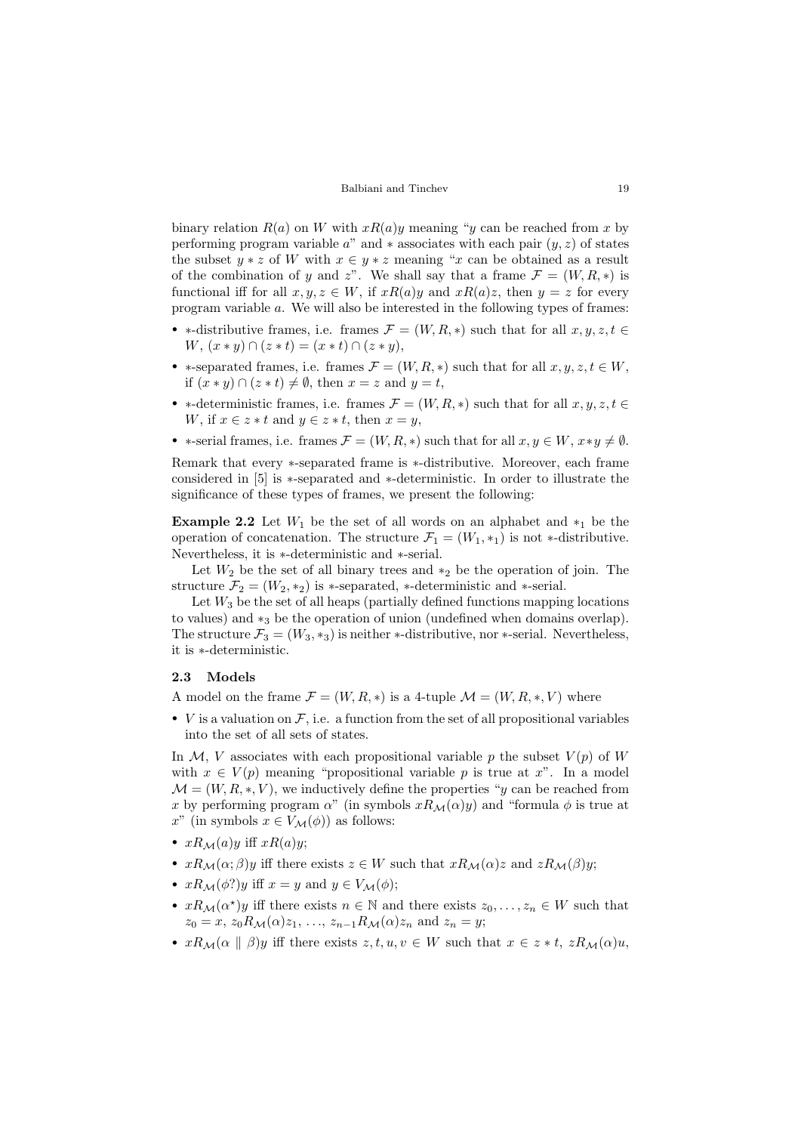binary relation  $R(a)$  on W with  $xR(a)y$  meaning "y can be reached from x by performing program variable a" and  $*$  associates with each pair  $(y, z)$  of states the subset  $y * z$  of W with  $x \in y * z$  meaning "x can be obtained as a result of the combination of y and z". We shall say that a frame  $\mathcal{F} = (W, R, *)$  is functional iff for all  $x, y, z \in W$ , if  $xR(a)y$  and  $xR(a)z$ , then  $y = z$  for every program variable a. We will also be interested in the following types of frames:

- \*-distributive frames, i.e. frames  $\mathcal{F} = (W, R, *)$  such that for all  $x, y, z, t \in$  $W, (x * y) \cap (z * t) = (x * t) \cap (z * y),$
- ∗-separated frames, i.e. frames  $\mathcal{F} = (W, R, *)$  such that for all  $x, y, z, t \in W$ , if  $(x * y) \cap (z * t) \neq \emptyset$ , then  $x = z$  and  $y = t$ ,
- ∗-deterministic frames, i.e. frames  $\mathcal{F} = (W, R, *)$  such that for all  $x, y, z, t \in$ W, if  $x \in z * t$  and  $y \in z * t$ , then  $x = y$ ,
- \*-serial frames, i.e. frames  $\mathcal{F} = (W, R, *)$  such that for all  $x, y \in W$ ,  $x * y \neq \emptyset$ .

Remark that every ∗-separated frame is ∗-distributive. Moreover, each frame considered in [\[5\]](#page-16-5) is ∗-separated and ∗-deterministic. In order to illustrate the significance of these types of frames, we present the following:

<span id="page-3-0"></span>Example 2.2 Let  $W_1$  be the set of all words on an alphabet and  $*_1$  be the operation of concatenation. The structure  $\mathcal{F}_1 = (W_1, *_1)$  is not  $*$ -distributive. Nevertheless, it is ∗-deterministic and ∗-serial.

Let  $W_2$  be the set of all binary trees and  $*_2$  be the operation of join. The structure  $\mathcal{F}_2 = (W_2, *_2)$  is \*-separated, \*-deterministic and \*-serial.

Let  $W_3$  be the set of all heaps (partially defined functions mapping locations to values) and  $*_3$  be the operation of union (undefined when domains overlap). The structure  $\mathcal{F}_3 = (W_3, *_3)$  is neither  $*$ -distributive, nor  $*$ -serial. Nevertheless, it is ∗-deterministic.

### 2.3 Models

A model on the frame  $\mathcal{F} = (W, R, *)$  is a 4-tuple  $\mathcal{M} = (W, R, *, V)$  where

• *V* is a valuation on  $\mathcal{F}$ , i.e. a function from the set of all propositional variables into the set of all sets of states.

In  $M$ , V associates with each propositional variable p the subset  $V(p)$  of W with  $x \in V(p)$  meaning "propositional variable p is true at x". In a model  $\mathcal{M} = (W, R, * , V)$ , we inductively define the properties "y can be reached from x by performing program  $\alpha$ " (in symbols  $xR_M(\alpha)y$ ) and "formula  $\phi$  is true at x" (in symbols  $x \in V_{\mathcal{M}}(\phi)$ ) as follows:

- $xR_{\mathcal{M}}(a)y$  iff  $xR(a)y$ ;
- $xR_M(\alpha;\beta)y$  iff there exists  $z \in W$  such that  $xR_M(\alpha)z$  and  $zR_M(\beta)y$ ;
- $xR_{\mathcal{M}}(\phi?)y$  iff  $x = y$  and  $y \in V_{\mathcal{M}}(\phi);$
- $xR_M(\alpha^*)y$  iff there exists  $n \in \mathbb{N}$  and there exists  $z_0, \ldots, z_n \in W$  such that  $z_0 = x$ ,  $z_0R_{\mathcal{M}}(\alpha)z_1, \ldots, z_{n-1}R_{\mathcal{M}}(\alpha)z_n$  and  $z_n = y$ ;
- $xR_{\mathcal{M}}(\alpha \parallel \beta)y$  iff there exists  $z, t, u, v \in W$  such that  $x \in z * t$ ,  $zR_{\mathcal{M}}(\alpha)u$ ,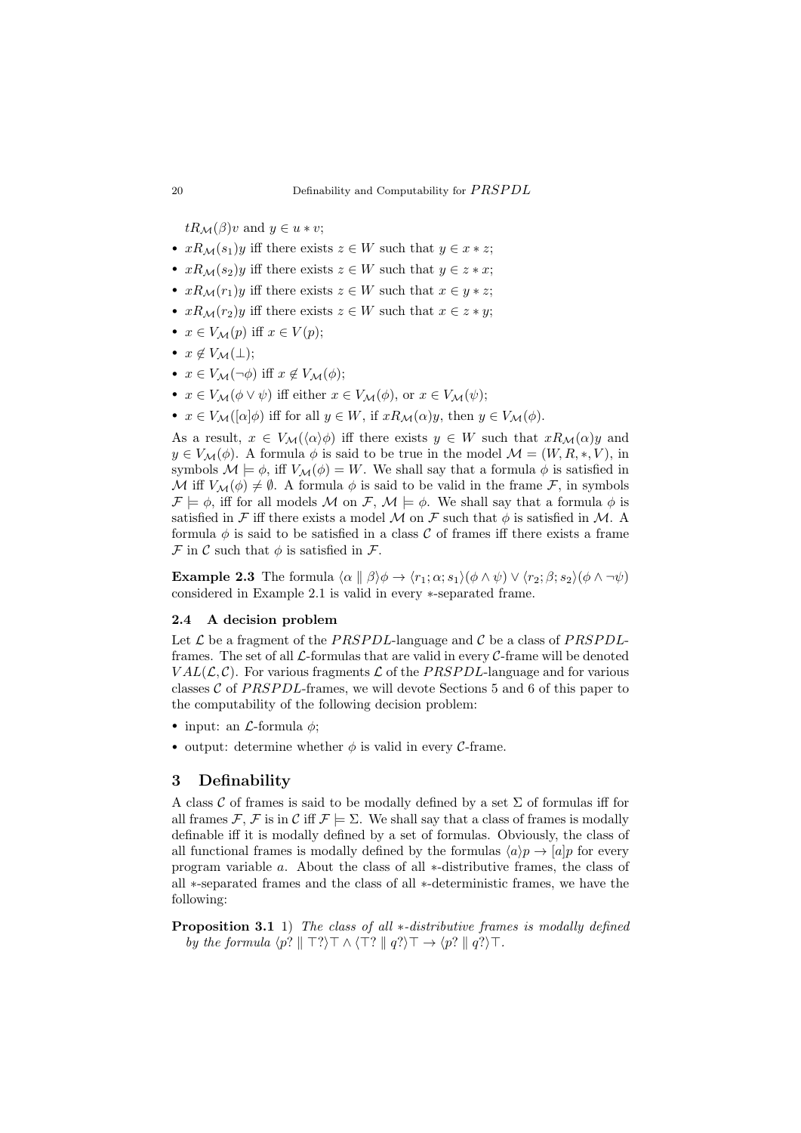$tR_{\mathcal{M}}(\beta)v$  and  $y \in u * v$ ;

- $xR_M(s_1)y$  iff there exists  $z \in W$  such that  $y \in x * z$ ;
- $xR_M(s_2)y$  iff there exists  $z \in W$  such that  $y \in z * x$ ;
- $xR_M(r_1)y$  iff there exists  $z \in W$  such that  $x \in y * z$ ;
- $xR_M(r_2)y$  iff there exists  $z \in W$  such that  $x \in z * y$ ;
- $x \in V_{\mathcal{M}}(p)$  iff  $x \in V(p)$ ;
- $x \notin V_{\mathcal{M}}(\perp);$
- $x \in V_{\mathcal{M}}(\neg \phi)$  iff  $x \notin V_{\mathcal{M}}(\phi)$ ;
- $x \in V_{\mathcal{M}}(\phi \vee \psi)$  iff either  $x \in V_{\mathcal{M}}(\phi)$ , or  $x \in V_{\mathcal{M}}(\psi)$ ;
- $x \in V_{\mathcal{M}}([\alpha]\phi)$  iff for all  $y \in W$ , if  $xR_{\mathcal{M}}(\alpha)y$ , then  $y \in V_{\mathcal{M}}(\phi)$ .

As a result,  $x \in V_{\mathcal{M}}(\langle \alpha \rangle \phi)$  iff there exists  $y \in W$  such that  $xR_{\mathcal{M}}(\alpha)y$  and  $y \in V_{\mathcal{M}}(\phi)$ . A formula  $\phi$  is said to be true in the model  $\mathcal{M} = (W, R, *, V)$ , in symbols  $\mathcal{M} \models \phi$ , iff  $V_{\mathcal{M}}(\phi) = W$ . We shall say that a formula  $\phi$  is satisfied in M iff  $V_M(\phi) \neq \emptyset$ . A formula  $\phi$  is said to be valid in the frame F, in symbols  $\mathcal{F} \models \phi$ , iff for all models M on F,  $\mathcal{M} \models \phi$ . We shall say that a formula  $\phi$  is satisfied in F iff there exists a model M on F such that  $\phi$  is satisfied in M. A formula  $\phi$  is said to be satisfied in a class C of frames iff there exists a frame  $\mathcal F$  in  $\mathcal C$  such that  $\phi$  is satisfied in  $\mathcal F$ .

**Example 2.3** The formula  $\langle \alpha | \beta \rangle \phi \rightarrow \langle r_1; \alpha; s_1 \rangle (\phi \wedge \psi) \vee \langle r_2; \beta; s_2 \rangle (\phi \wedge \neg \psi)$ considered in Example [2.1](#page-2-1) is valid in every ∗-separated frame.

#### 2.4 A decision problem

Let  $\mathcal L$  be a fragment of the PRSPDL-language and  $\mathcal C$  be a class of PRSPDLframes. The set of all  $\mathcal{L}$ -formulas that are valid in every  $\mathcal{C}$ -frame will be denoted  $VAL(\mathcal{L}, \mathcal{C})$ . For various fragments  $\mathcal{L}$  of the *PRSPDL*-language and for various classes  $C$  of PRSPDL-frames, we will devote Sections [5](#page-10-0) and [6](#page-12-0) of this paper to the computability of the following decision problem:

- input: an  $\mathcal{L}$ -formula  $\phi$ ;
- output: determine whether  $\phi$  is valid in every C-frame.

### <span id="page-4-0"></span>3 Definability

A class  $\mathcal C$  of frames is said to be modally defined by a set  $\Sigma$  of formulas iff for all frames F, F is in C iff  $\mathcal{F} \models \Sigma$ . We shall say that a class of frames is modally definable iff it is modally defined by a set of formulas. Obviously, the class of all functional frames is modally defined by the formulas  $\langle a \rangle p \rightarrow |a|p$  for every program variable a. About the class of all ∗-distributive frames, the class of all ∗-separated frames and the class of all ∗-deterministic frames, we have the following:

Proposition 3.1 1) The class of all ∗-distributive frames is modally defined by the formula  $\langle p? \parallel \top? \rangle \top \wedge \langle \top? \parallel q? \rangle \top \rightarrow \langle p? \parallel q? \rangle \top$ .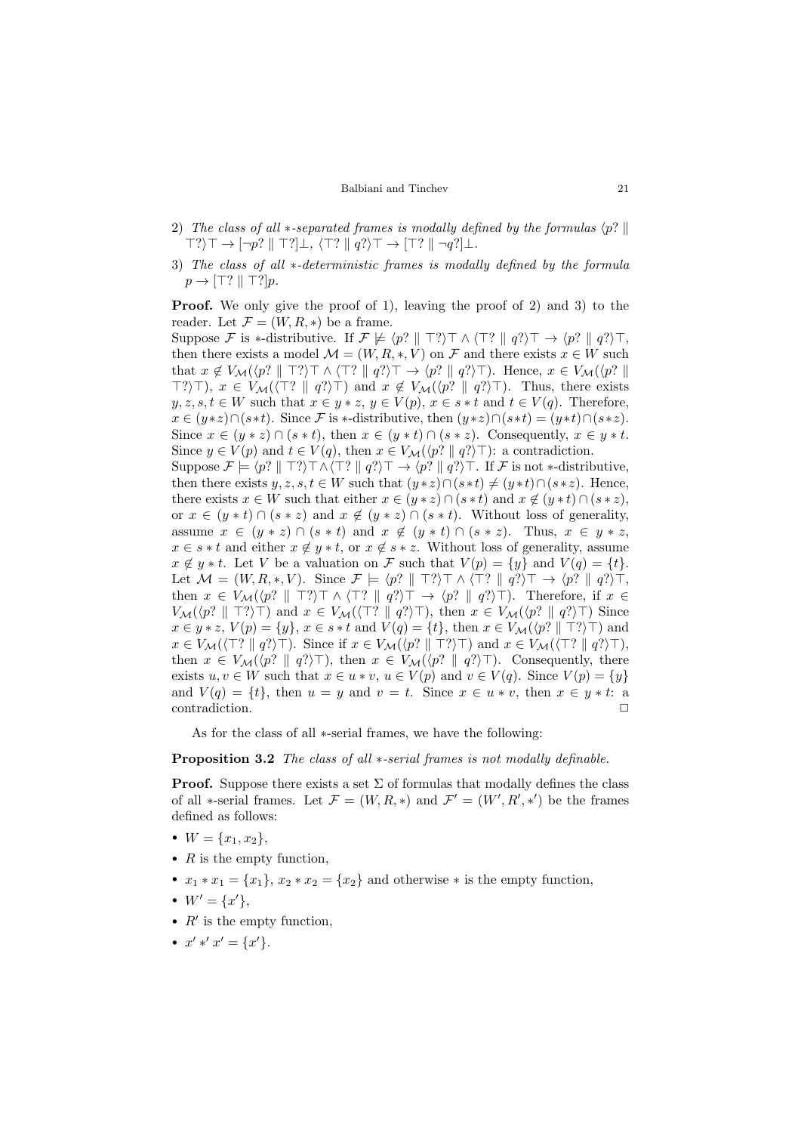- 2) The class of all  $*$ -separated frames is modally defined by the formulas  $\langle p? \parallel$  $\top?$ )  $\top \rightarrow \lceil \neg p? \rceil \top?$ ]  $\bot$ ,  $\langle \top? \rceil \rceil q?$ )  $\top \rightarrow \lceil \top? \rceil \rceil \neg q?$ ]  $\bot$ .
- 3) The class of all  $*$ -deterministic frames is modally defined by the formula  $p \rightarrow [\top? \parallel \top?] p.$

Proof. We only give the proof of 1), leaving the proof of 2) and 3) to the reader. Let  $\mathcal{F} = (W, R, *)$  be a frame.

Suppose F is \*-distributive. If  $\mathcal{F} \not\models \langle p? \parallel \top? \rangle \top \wedge \langle \top? \parallel q? \rangle \top \rightarrow \langle p? \parallel q? \rangle \top$ , then there exists a model  $\mathcal{M} = (W, R, *, V)$  on  $\mathcal F$  and there exists  $x \in W$  such that  $x \notin V_{\mathcal{M}}(\langle p? \parallel \top? \rangle \top \wedge \langle \top? \parallel q? \rangle \top \rightarrow \langle p? \parallel q? \rangle \top)$ . Hence,  $x \in V_{\mathcal{M}}(\langle p? \parallel$  $\top$ ?) $\top$ ,  $x \in V_{\mathcal{M}}(\top)$  |  $q$ ?) $\top$ ) and  $x \notin V_{\mathcal{M}}(\langle p? \parallel q? \rangle)$ . Thus, there exists  $y, z, s, t \in W$  such that  $x \in y * z, y \in V(p), x \in s * t$  and  $t \in V(q)$ . Therefore,  $x \in (y * z) \cap (s * t)$ . Since F is \*-distributive, then  $(y * z) \cap (s * t) = (y * t) \cap (s * z)$ . Since  $x \in (y * z) \cap (s * t)$ , then  $x \in (y * t) \cap (s * z)$ . Consequently,  $x \in y * t$ . Since  $y \in V(p)$  and  $t \in V(q)$ , then  $x \in V_{\mathcal{M}}(\langle p? \mid q? \rangle \top)$ : a contradiction. Suppose  $\mathcal{F} \models \langle p? \parallel \top? \rangle \top \wedge \langle \top? \parallel q? \rangle \top \rightarrow \langle p? \parallel q? \rangle \top$ . If  $\mathcal{F}$  is not  $*$ -distributive,

then there exists  $y, z, s, t \in W$  such that  $(y * z) \cap (s * t) \neq (y * t) \cap (s * z)$ . Hence, there exists  $x \in W$  such that either  $x \in (y * z) \cap (s * t)$  and  $x \notin (y * t) \cap (s * z)$ , or  $x \in (y * t) \cap (s * z)$  and  $x \notin (y * z) \cap (s * t)$ . Without loss of generality, assume  $x \in (y * z) \cap (s * t)$  and  $x \notin (y * t) \cap (s * z)$ . Thus,  $x \in y * z$ ,  $x \in s * t$  and either  $x \notin y * t$ , or  $x \notin s * z$ . Without loss of generality, assume  $x \notin y * t$ . Let V be a valuation on F such that  $V(p) = \{y\}$  and  $V(q) = \{t\}$ . Let  $\mathcal{M} = (W, R, *, V)$ . Since  $\mathcal{F} \models \langle p? \parallel \top? \rangle \top \wedge \langle \top? \parallel q? \rangle \top \rightarrow \langle p? \parallel q? \rangle \top$ , then  $x \in V_{\mathcal{M}}(\langle p? \parallel \top? \rangle \top \wedge \langle \top? \parallel q? \rangle \top \rightarrow \langle p? \parallel q? \rangle \top)$ . Therefore, if  $x \in$  $V_{\mathcal{M}}(\langle p? \parallel \top? \rangle \top)$  and  $x \in V_{\mathcal{M}}(\langle \top? \parallel q? \rangle \top)$ , then  $x \in V_{\mathcal{M}}(\langle p? \parallel q? \rangle \top)$  Since  $x \in y * z$ ,  $V(p) = \{y\}$ ,  $x \in s * t$  and  $V(q) = \{t\}$ , then  $x \in V_{\mathcal{M}}(\langle p? \parallel \top ? \rangle \top)$  and  $x \in V_{\mathcal{M}}(\langle \top ? \parallel q? \rangle \top)$ . Since if  $x \in V_{\mathcal{M}}(\langle p? \parallel \top ? \rangle \top)$  and  $x \in V_{\mathcal{M}}(\langle \top ? \parallel q? \rangle \top)$ , then  $x \in V_{\mathcal{M}}(\langle p? \parallel q? \rangle \top)$ , then  $x \in V_{\mathcal{M}}(\langle p? \parallel q? \rangle \top)$ . Consequently, there exists  $u, v \in W$  such that  $x \in u * v$ ,  $u \in V(p)$  and  $v \in V(q)$ . Since  $V(p) = \{y\}$ and  $V(q) = \{t\}$ , then  $u = y$  and  $v = t$ . Since  $x \in u * v$ , then  $x \in y * t$ : a contradiction.

As for the class of all ∗-serial frames, we have the following:

#### Proposition 3.2 The class of all ∗-serial frames is not modally definable.

**Proof.** Suppose there exists a set  $\Sigma$  of formulas that modally defines the class of all \*-serial frames. Let  $\mathcal{F} = (W, R, *)$  and  $\mathcal{F}' = (W', R', *')$  be the frames defined as follows:

- $W = \{x_1, x_2\},\,$
- $R$  is the empty function,
- $x_1 * x_1 = \{x_1\}, x_2 * x_2 = \{x_2\}$  and otherwise  $*$  is the empty function,
- $W' = \{x'\},\$
- $R'$  is the empty function,
- $x' * 'x' = \{x'\}.$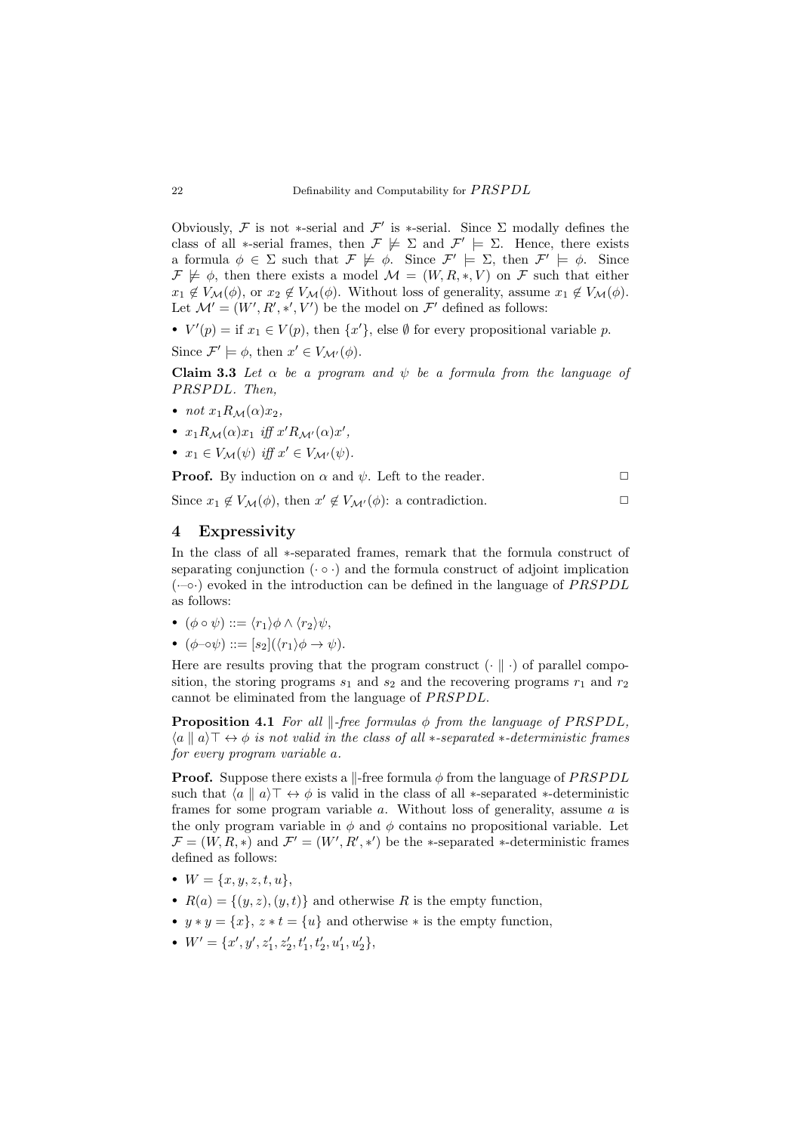Obviously, F is not \*-serial and  $\mathcal{F}'$  is \*-serial. Since  $\Sigma$  modally defines the class of all  $*$ -serial frames, then  $\mathcal{F} \not\models \Sigma$  and  $\mathcal{F}' \models \Sigma$ . Hence, there exists a formula  $\phi \in \Sigma$  such that  $\mathcal{F} \not\models \phi$ . Since  $\mathcal{F}' \models \Sigma$ , then  $\mathcal{F}' \models \phi$ . Since  $\mathcal{F} \not\models \phi$ , then there exists a model  $\mathcal{M} = (W, R, *, V)$  on  $\mathcal{F}$  such that either  $x_1 \notin V_{\mathcal{M}}(\phi)$ , or  $x_2 \notin V_{\mathcal{M}}(\phi)$ . Without loss of generality, assume  $x_1 \notin V_{\mathcal{M}}(\phi)$ . Let  $\mathcal{M}' = (W', R', *', V')$  be the model on  $\mathcal{F}'$  defined as follows:

•  $V'(p) = \text{if } x_1 \in V(p)$ , then  $\{x'\}$ , else  $\emptyset$  for every propositional variable p.

Since  $\mathcal{F}' \models \phi$ , then  $x' \in V_{\mathcal{M}'}(\phi)$ .

Claim 3.3 Let  $\alpha$  be a program and  $\psi$  be a formula from the language of PRSPDL. Then,

- not  $x_1R_M(\alpha)x_2$ ,
- $x_1 R_{\mathcal{M}}(\alpha) x_1$  iff  $x' R_{\mathcal{M}'}(\alpha) x'$ ,
- $x_1 \in V_{\mathcal{M}}(\psi)$  iff  $x' \in V_{\mathcal{M}'}(\psi)$ .

**Proof.** By induction on  $\alpha$  and  $\psi$ . Left to the reader.

Since  $x_1 \notin V_{\mathcal{M}}(\phi)$ , then  $x' \notin V_{\mathcal{M}'}(\phi)$ : a contradiction.

# <span id="page-6-0"></span>4 Expressivity

In the class of all ∗-separated frames, remark that the formula construct of separating conjunction ( $\cdot \circ \cdot$ ) and the formula construct of adjoint implication  $(-\circ \cdot)$  evoked in the introduction can be defined in the language of PRSPDL as follows:

- $(\phi \circ \psi) ::= \langle r_1 \rangle \phi \wedge \langle r_2 \rangle \psi,$
- $(\phi \neg \circ \psi) ::= [s_2] (\langle r_1 \rangle \phi \rightarrow \psi).$

Here are results proving that the program construct  $(\cdot \parallel \cdot)$  of parallel composition, the storing programs  $s_1$  and  $s_2$  and the recovering programs  $r_1$  and  $r_2$ cannot be eliminated from the language of PRSPDL.

**Proposition 4.1** For all  $\Vert$ -free formulas  $\phi$  from the language of PRSPDL,  $\langle a \parallel a \rangle \top \leftrightarrow \phi$  is not valid in the class of all  $\ast$ -separated  $\ast$ -deterministic frames for every program variable a.

**Proof.** Suppose there exists a  $\parallel$ -free formula  $\phi$  from the language of *PRSPDL* such that  $\langle a \mid a \rangle \top \leftrightarrow \phi$  is valid in the class of all ∗-separated ∗-deterministic frames for some program variable  $a$ . Without loss of generality, assume  $a$  is the only program variable in  $\phi$  and  $\phi$  contains no propositional variable. Let  $\mathcal{F} = (W, R, *)$  and  $\mathcal{F}' = (W', R', *')$  be the \*-separated \*-deterministic frames defined as follows:

- $W = \{x, y, z, t, u\},\$
- $R(a) = \{(y, z), (y, t)\}\$ and otherwise R is the empty function,
- $y * y = \{x\}, z * t = \{u\}$  and otherwise  $*$  is the empty function,
- $W' = \{x', y', z'_1, z'_2, t'_1, t'_2, u'_1, u'_2\},\$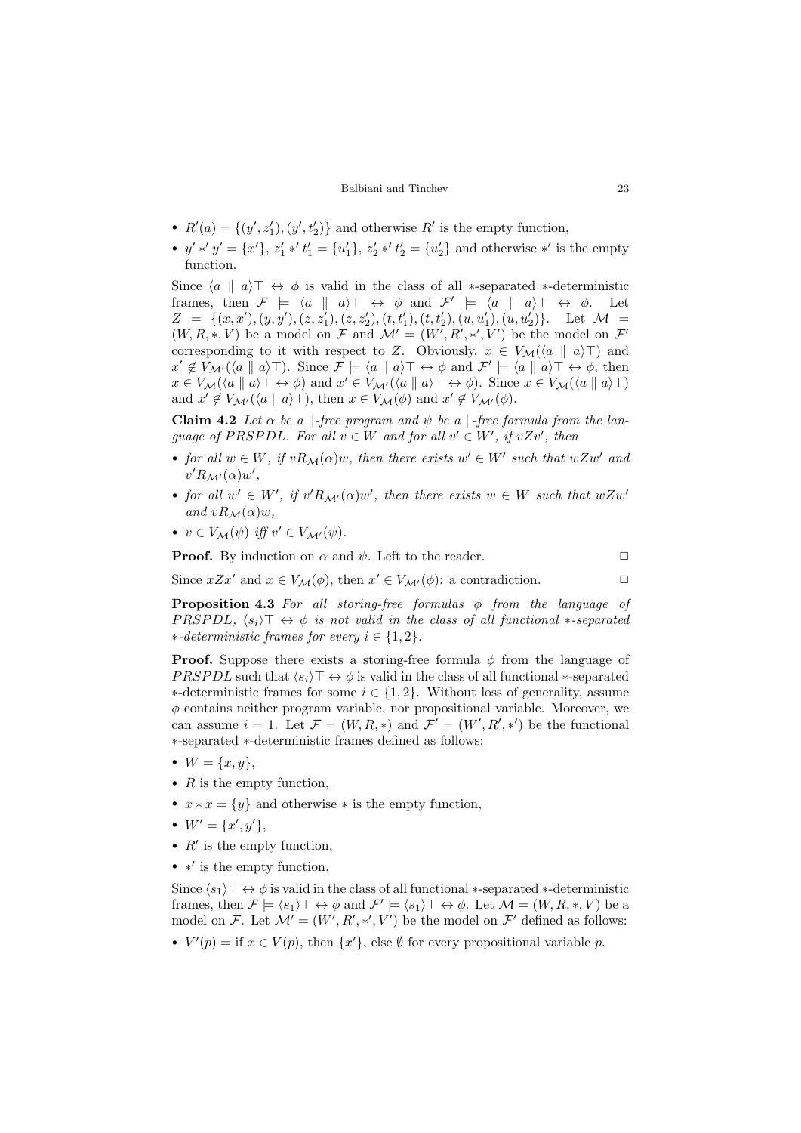- $R'(a) = \{(y', z'_1), (y', t'_2)\}\$ and otherwise  $R'$  is the empty function,
- $y' * 'y' = \{x'\}, z'_1 * 't'_1 = \{u'_1\}, z'_2 * 't'_2 = \{u'_2\}$  and otherwise \*' is the empty function.

Since  $\langle a \parallel a \rangle \top \leftrightarrow \phi$  is valid in the class of all ∗-separated ∗-deterministic frames, then  $\mathcal{F} \models \langle a \parallel a \rangle \top \leftrightarrow \phi$  and  $\mathcal{F}' \models \langle a \parallel a \rangle \top \leftrightarrow \phi$ . Let  $Z = \{(x, x'), (y, y'), (z, z'_1), (z, z'_2), (t, t'_1), (t, t'_2), (u, u'_1), (u, u'_2)\}.$  Let  $\mathcal{M} =$  $(W, R, *, V)$  be a model on F and  $\mathcal{M}' = (W', R', *, V')$  be the model on F' corresponding to it with respect to Z. Obviously,  $x \in V_{\mathcal{M}}(\langle a \parallel a \rangle \top)$  and  $x' \notin V_{\mathcal{M}'}(\langle a \parallel a \rangle)$ . Since  $\mathcal{F} \models \langle a \parallel a \rangle \top \leftrightarrow \phi$  and  $\mathcal{F}' \models \langle a \parallel a \rangle \top \leftrightarrow \phi$ , then  $x \in V_{\mathcal{M}}(\langle a \parallel a \rangle \top \leftrightarrow \phi)$  and  $x' \in V_{\mathcal{M}'}(\langle a \parallel a \rangle \top \leftrightarrow \phi)$ . Since  $x \in V_{\mathcal{M}}(\langle a \parallel a \rangle \top)$ and  $x' \notin V_{\mathcal{M}'}(\langle a \parallel a \rangle \top)$ , then  $x \in V_{\mathcal{M}}(\phi)$  and  $x' \notin V_{\mathcal{M}'}(\phi)$ .

**Claim 4.2** Let  $\alpha$  be a  $\Vert$ -free program and  $\psi$  be a  $\Vert$ -free formula from the language of PRSPDL. For all  $v \in W$  and for all  $v' \in W'$ , if  $vZv'$ , then

- for all  $w \in W$ , if  $vR_M(\alpha)w$ , then there exists  $w' \in W'$  such that  $wZw'$  and  $v' R_{\mathcal{M}'}(\alpha) w',$
- for all  $w' \in W'$ , if  $v'R_{\mathcal{M}'}(\alpha)w'$ , then there exists  $w \in W$  such that  $wZw'$ and  $vR_M(\alpha)w$ ,
- $v \in V_{\mathcal{M}}(\psi)$  iff  $v' \in V_{\mathcal{M}'}(\psi)$ .

**Proof.** By induction on  $\alpha$  and  $\psi$ . Left to the reader.  $\Box$ 

Since  $xZx'$  and  $x \in V_{\mathcal{M}}(\phi)$ , then  $x' \in V_{\mathcal{M}'}(\phi)$ : a contradiction.

**Proposition 4.3** For all storing-free formulas  $\phi$  from the language of PRSPDL,  $\langle s_i \rangle \top \leftrightarrow \phi$  is not valid in the class of all functional  $*$ -separated ∗-deterministic frames for every  $i \in \{1, 2\}$ .

**Proof.** Suppose there exists a storing-free formula  $\phi$  from the language of *PRSPDL* such that  $\langle s_i \rangle \top \leftrightarrow \phi$  is valid in the class of all functional ∗-separated  $∗-deterministic frames for some  $i \in \{1,2\}$ . Without loss of generality, assume$  $\phi$  contains neither program variable, nor propositional variable. Moreover, we can assume  $i = 1$ . Let  $\mathcal{F} = (W, R, *)$  and  $\mathcal{F}' = (W', R', *')$  be the functional ∗-separated ∗-deterministic frames defined as follows:

- $W = \{x, y\},\,$
- $R$  is the empty function,
- $x * x = \{y\}$  and otherwise  $*$  is the empty function,
- $W' = \{x', y'\},\,$
- $R'$  is the empty function,
- ∗' is the empty function.

Since  $\langle s_1 \rangle \top \leftrightarrow \phi$  is valid in the class of all functional ∗-separated ∗-deterministic frames, then  $\mathcal{F} \models \langle s_1 \rangle \top \leftrightarrow \phi$  and  $\mathcal{F}' \models \langle s_1 \rangle \top \leftrightarrow \phi$ . Let  $\mathcal{M} = (W, R, *, V)$  be a model on F. Let  $\mathcal{M}' = (W', R', *, 'V')$  be the model on F' defined as follows:

•  $V'(p) = \text{if } x \in V(p)$ , then  $\{x'\}$ , else  $\emptyset$  for every propositional variable p.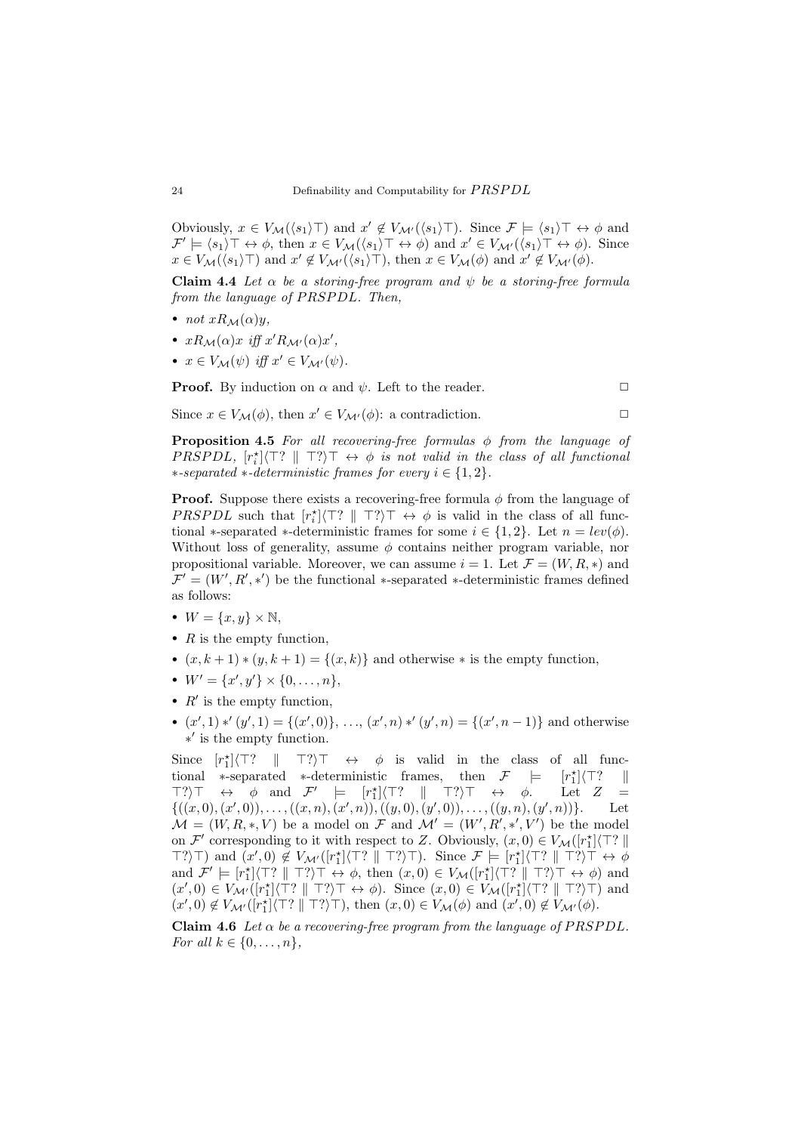Obviously,  $x \in V_{\mathcal{M}}(\langle s_1 \rangle \top)$  and  $x' \notin V_{\mathcal{M}'}(\langle s_1 \rangle \top)$ . Since  $\mathcal{F} \models \langle s_1 \rangle \top \leftrightarrow \phi$  and  $\mathcal{F}' \models \langle s_1 \rangle \top \leftrightarrow \phi$ , then  $x \in V_{\mathcal{M}}(\langle s_1 \rangle \top \leftrightarrow \phi)$  and  $x' \in V_{\mathcal{M}'}(\langle s_1 \rangle \top \leftrightarrow \phi)$ . Since  $x \in V_{\mathcal{M}}(\langle s_1 \rangle \top)$  and  $x' \notin V_{\mathcal{M}'}(\langle s_1 \rangle \top)$ , then  $x \in V_{\mathcal{M}}(\phi)$  and  $x' \notin V_{\mathcal{M}'}(\phi)$ .

Claim 4.4 Let  $\alpha$  be a storing-free program and  $\psi$  be a storing-free formula from the language of  $PRSPDL$ . Then,

- not  $xR_M(\alpha)y$ ,
- $xR_{\mathcal{M}}(\alpha)x$  iff  $x'R_{\mathcal{M}'}(\alpha)x'$ ,
- $x \in V_{\mathcal{M}}(\psi)$  iff  $x' \in V_{\mathcal{M}'}(\psi)$ .

**Proof.** By induction on  $\alpha$  and  $\psi$ . Left to the reader.  $\Box$ 

∗-separated ∗-deterministic frames for every  $i \in \{1,2\}$ .

**Proposition 4.5** For all recovering-free formulas  $\phi$  from the language of PRSPDL,  $[r_i^*]\langle \top? \parallel \top? \rangle \top \leftrightarrow \phi$  is not valid in the class of all functional

Since  $x \in V_{\mathcal{M}}(\phi)$ , then  $x' \in V_{\mathcal{M}'}(\phi)$ : a contradiction.

**Proof.** Suppose there exists a recovering-free formula  $\phi$  from the language of PRSPDL such that  $[r_i^*]\langle \top? \parallel \top? \rangle \top \leftrightarrow \phi$  is valid in the class of all functional ∗-separated ∗-deterministic frames for some  $i \in \{1,2\}$ . Let  $n = lev(\phi)$ . Without loss of generality, assume  $\phi$  contains neither program variable, nor propositional variable. Moreover, we can assume  $i = 1$ . Let  $\mathcal{F} = (W, R, *)$  and  $\mathcal{F}' = (W', R', *)$  be the functional \*-separated \*-deterministic frames defined as follows:

- $W = \{x, y\} \times \mathbb{N},$
- $R$  is the empty function,
- $(x, k+1) * (y, k+1) = \{(x, k)\}\$ and otherwise  $*$  is the empty function,
- $W' = \{x', y'\} \times \{0, \ldots, n\},\$
- $R'$  is the empty function,
- $(x', 1) * (y', 1) = \{(x', 0)\}, \ldots, (x', n) * (y', n) = \{(x', n-1)\}\$ and otherwise ∗ 0 is the empty function.

Since  $[r_1^*]$  $\top?$ ) $\top \leftrightarrow \phi$  is valid in the class of all functional ∗-separated ∗-deterministic frames, then  $\mathcal{F}$   $\models$  $\binom{*}{1}$  $\langle$ T? ||  $\top?$ ) $\top \leftrightarrow \phi$  and  $\mathcal{F}'$   $\models$   $[r_1^{\star}]\langle \top? \parallel \top? \rangle \top \leftrightarrow \phi$ . Let  $Z =$  $\{((x,0),(x',0)),\ldots,((x,n),(x',n)),((y,0),(y',0)),\ldots,((y,n),(y',n))\}.$  Let  $\mathcal{M} = (W, R, *, V)$  be a model on F and  $\mathcal{M}' = (W', R', *, V')$  be the model on  $\mathcal{F}'$  corresponding to it with respect to Z. Obviously,  $(x, 0) \in V_{\mathcal{M}}([r_1^*]\langle \top ?\parallel$  $\top?$ ) and  $(x', 0) \notin V_{\mathcal{M}'}([r_1^*]\langle \top? \parallel \top? \rangle \top)$ . Since  $\mathcal{F} \models [r_1^*]\langle \top? \parallel \top? \rangle \top \leftrightarrow \phi$ and  $\mathcal{F}' \models [r_1^*]\langle \top? \parallel \top? \rangle \top \leftrightarrow \phi$ , then  $(x, 0) \in V_{\mathcal{M}}([r_1^*]\langle \top? \parallel \top? \rangle \top \leftrightarrow \phi)$  and  $(x',0) \in V_{\mathcal{M}'}([r_1^*]\langle \top? \parallel \top? \rangle \top \leftrightarrow \phi)$ . Since  $(x,0) \in V_{\mathcal{M}}([r_1^*]\langle \top? \parallel \top? \rangle \top)$  and  $(x',0) \notin V_{\mathcal{M}'}([r_1^*]\langle \top? \parallel \top? \rangle \top)$ , then  $(x,0) \in V_{\mathcal{M}}(\phi)$  and  $(x',0) \notin V_{\mathcal{M}'}(\phi)$ .

Claim 4.6 Let  $\alpha$  be a recovering-free program from the language of PRSPDL. For all  $k \in \{0, \ldots, n\},\$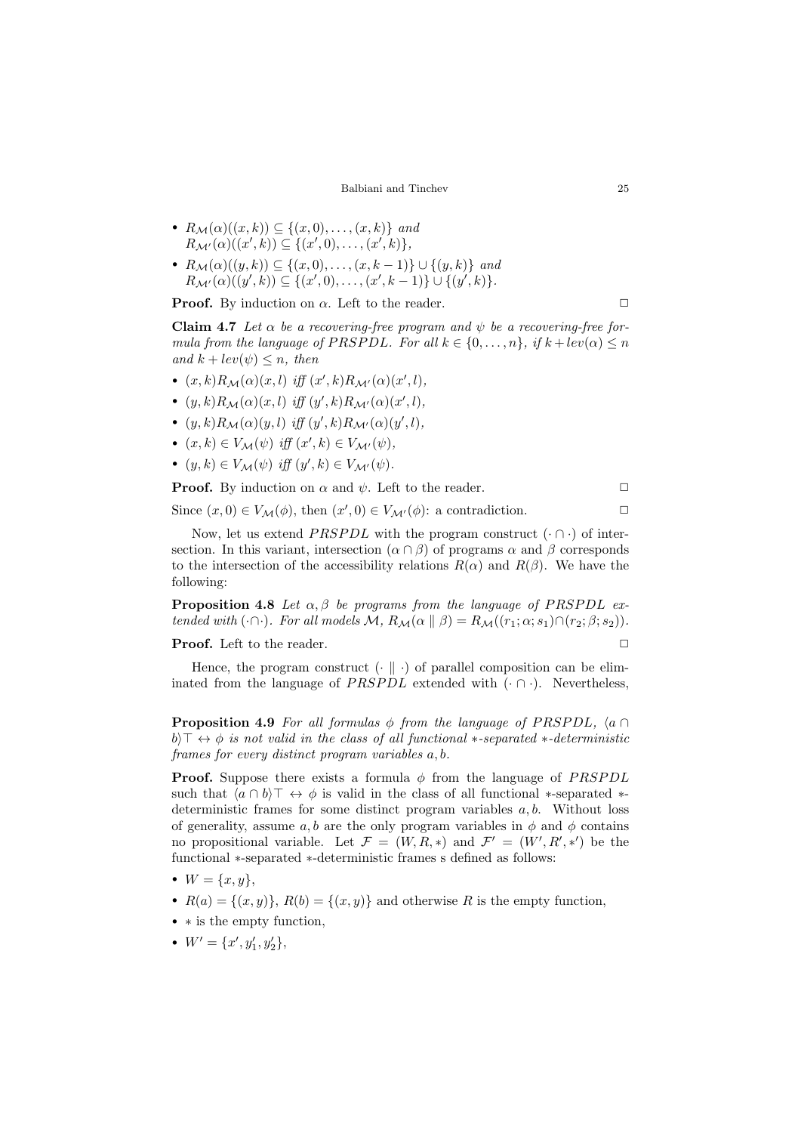- $R_{\mathcal{M}}(\alpha)((x,k)) \subseteq \{(x,0), \ldots, (x,k)\}$  and  $R_{\mathcal{M}'}(\alpha)((x',k)) \subseteq \{(x',0), \ldots, (x',k)\},\$
- $R_{\mathcal{M}}(\alpha)((y,k)) \subseteq \{(x,0), \ldots, (x,k-1)\} \cup \{(y,k)\}$  and  $R_{\mathcal{M}'}(\alpha)((y',k)) \subseteq \{(x',0), \ldots, (x',k-1)\} \cup \{(y',k)\}.$

**Proof.** By induction on  $\alpha$ . Left to the reader.

**Claim 4.7** Let  $\alpha$  be a recovering-free program and  $\psi$  be a recovering-free formula from the language of PRSPDL. For all  $k \in \{0, \ldots, n\}$ , if  $k + lev(\alpha) \leq n$ and  $k + lev(\psi) \leq n$ , then

- $(x, k)R_M(\alpha)(x, l)$  iff  $(x', k)R_{M'}(\alpha)(x', l)$ ,
- $(y, k)R_{\mathcal{M}}(\alpha)(x, l)$  iff  $(y', k)R_{\mathcal{M}'}(\alpha)(x', l)$ ,
- $(y, k)R_{\mathcal{M}}(\alpha)(y, l)$  iff  $(y', k)R_{\mathcal{M}'}(\alpha)(y', l)$ ,
- $(x, k) \in V_{\mathcal{M}}(\psi)$  iff  $(x', k) \in V_{\mathcal{M}'}(\psi)$ ,
- $(y, k) \in V_{\mathcal{M}}(\psi)$  iff  $(y', k) \in V_{\mathcal{M}'}(\psi)$ .

**Proof.** By induction on  $\alpha$  and  $\psi$ . Left to the reader.

Now, let us extend *PRSPDL* with the program construct  $(\cdot \cap \cdot)$  of intersection. In this variant, intersection  $(\alpha \cap \beta)$  of programs  $\alpha$  and  $\beta$  corresponds to the intersection of the accessibility relations  $R(\alpha)$  and  $R(\beta)$ . We have the following:

Since  $(x, 0) \in V_{\mathcal{M}}(\phi)$ , then  $(x', 0) \in V_{\mathcal{M}'}(\phi)$ : a contradiction.

<span id="page-9-0"></span>**Proposition 4.8** Let  $\alpha$ ,  $\beta$  be programs from the language of PRSPDL extended with  $(\cdot \cap \cdot)$ . For all models  $\mathcal{M}, R_{\mathcal{M}}(\alpha \parallel \beta) = R_{\mathcal{M}}((r_1; \alpha; s_1) \cap (r_2; \beta; s_2)).$ 

**Proof.** Left to the reader.  $\Box$ 

Hence, the program construct  $\left(\cdot \parallel \cdot\right)$  of parallel composition can be eliminated from the language of  $PRSPDL$  extended with  $(\cdot \cap \cdot)$ . Nevertheless,

<span id="page-9-1"></span>**Proposition 4.9** For all formulas  $\phi$  from the language of PRSPDL,  $\langle a \cap$ b)  $\top \leftrightarrow \phi$  is not valid in the class of all functional  $*$ -separated  $*$ -deterministic frames for every distinct program variables a, b.

**Proof.** Suppose there exists a formula  $\phi$  from the language of *PRSPDL* such that  $\langle a \cap b \rangle \top \leftrightarrow \phi$  is valid in the class of all functional \*-separated \*deterministic frames for some distinct program variables a, b. Without loss of generality, assume a, b are the only program variables in  $\phi$  and  $\phi$  contains no propositional variable. Let  $\mathcal{F} = (W, R, *)$  and  $\mathcal{F}' = (W', R', *)$  be the functional ∗-separated ∗-deterministic frames s defined as follows:

- $W = \{x, y\},\,$
- $R(a) = \{(x, y)\}, R(b) = \{(x, y)\}$  and otherwise R is the empty function,
- ∗ is the empty function,
- $W' = \{x', y'_1, y'_2\},\,$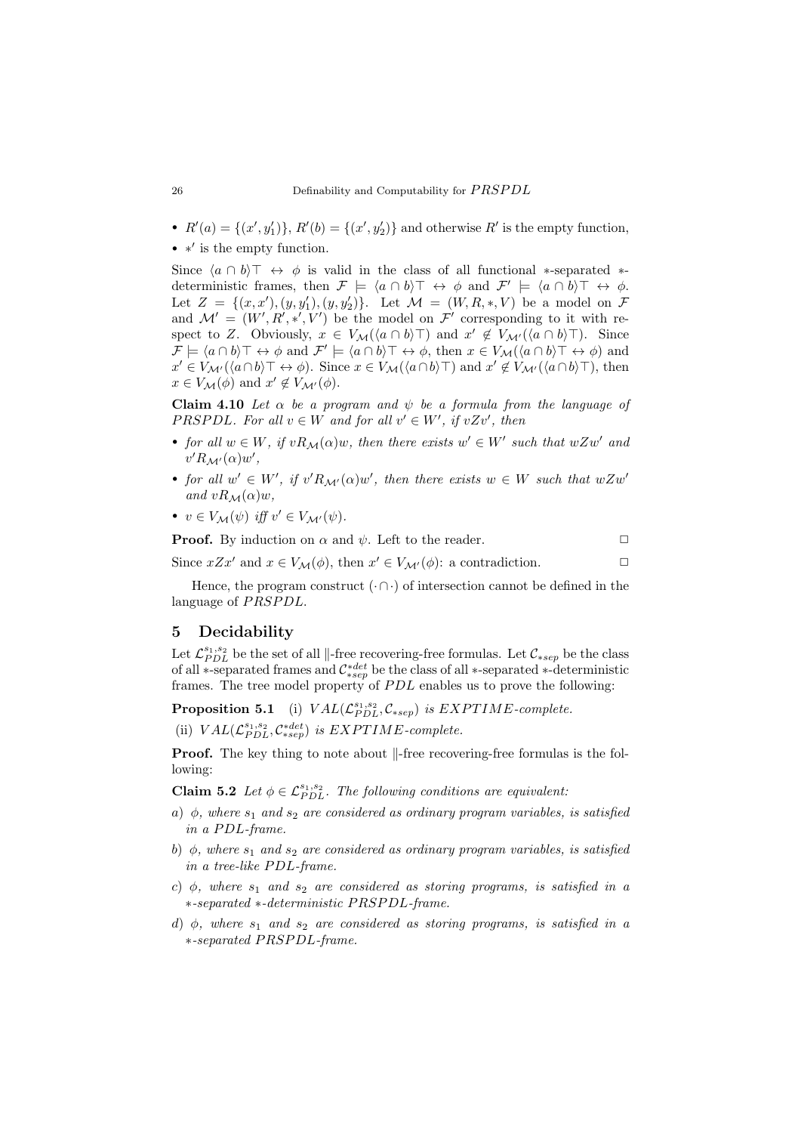- $R'(a) = \{(x', y_1')\}, R'(b) = \{(x', y_2')\}$  and otherwise  $R'$  is the empty function,
- ∗' is the empty function.

Since  $\langle a \cap b \rangle \top \leftrightarrow \phi$  is valid in the class of all functional ∗-separated ∗deterministic frames, then  $\mathcal{F} \models \langle a \cap b \rangle \top \leftrightarrow \phi$  and  $\mathcal{F}' \models \langle a \cap b \rangle \top \leftrightarrow \phi$ . Let  $Z = \{(x, x'), (y, y'_1), (y, y'_2)\}\$ . Let  $\mathcal{M} = (W, R, *, V)$  be a model on  $\mathcal F$ and  $\mathcal{M}' = (W', R', *, V')$  be the model on  $\mathcal{F}'$  corresponding to it with respect to Z. Obviously,  $x \in V_{\mathcal{M}}(\langle a \cap b \rangle \top)$  and  $x' \notin V_{\mathcal{M}'}(\langle a \cap b \rangle \top)$ . Since  $\mathcal{F} \models \langle a \cap b \rangle \top \leftrightarrow \phi \text{ and } \mathcal{F}' \models \langle a \cap b \rangle \top \leftrightarrow \phi, \text{ then } x \in V_{\mathcal{M}}(\langle a \cap b \rangle \top \leftrightarrow \phi) \text{ and }$  $x' \in V_{\mathcal{M}'}(\langle a \cap b \rangle \top \leftrightarrow \phi)$ . Since  $x \in V_{\mathcal{M}}(\langle a \cap b \rangle \top)$  and  $x' \notin V_{\mathcal{M}'}(\langle a \cap b \rangle \top)$ , then  $x \in V_{\mathcal{M}}(\phi)$  and  $x' \notin V_{\mathcal{M}'}(\phi)$ .

Claim 4.10 Let  $\alpha$  be a program and  $\psi$  be a formula from the language of PRSPDL. For all  $v \in W$  and for all  $v' \in W'$ , if  $vZv'$ , then

- for all  $w \in W$ , if  $vR_M(\alpha)w$ , then there exists  $w' \in W'$  such that  $wZw'$  and  $v' R_{\mathcal{M}'}(\alpha) w',$
- for all  $w' \in W'$ , if  $v'R_{\mathcal{M}'}(\alpha)w'$ , then there exists  $w \in W$  such that  $wZw'$ and  $vR_M(\alpha)w$ ,
- $v \in V_{\mathcal{M}}(\psi)$  iff  $v' \in V_{\mathcal{M}'}(\psi)$ .

**Proof.** By induction on  $\alpha$  and  $\psi$ . Left to the reader.

Since  $xZx'$  and  $x \in V_{\mathcal{M}}(\phi)$ , then  $x' \in V_{\mathcal{M}'}(\phi)$ : a contradiction.

Hence, the program construct  $(\cdot \cap \cdot)$  of intersection cannot be defined in the language of PRSPDL.

### <span id="page-10-0"></span>5 Decidability

Let  $\mathcal{L}_{PDL}^{s_1,s_2}$  be the set of all  $\Vert$ -free recovering-free formulas. Let  $\mathcal{C}_{*sep}$  be the class of all ∗-separated frames and  $C_{*sep}^{*det}$  be the class of all ∗-separated ∗-deterministic frames. The tree model property of  $PDL$  enables us to prove the following:

**Proposition 5.1** (i)  $VAL(\mathcal{L}_{PDL}^{s_1,s_2}, \mathcal{C}_{*sep})$  is  $EXPTIME$ -complete.

(ii)  $VAL(C_{PDL}^{s_1,s_2}, C_{*sep}^{*det})$  is  $EXPTIME$ -complete.

<span id="page-10-1"></span>**Proof.** The key thing to note about  $\Vert$ -free recovering-free formulas is the following:

**Claim 5.2** Let  $\phi \in \mathcal{L}_{PDL}^{s_1,s_2}$ . The following conditions are equivalent:

- a)  $\phi$ , where  $s_1$  and  $s_2$  are considered as ordinary program variables, is satisfied in a PDL-frame.
- b)  $\phi$ , where  $s_1$  and  $s_2$  are considered as ordinary program variables, is satisfied in a tree-like PDL-frame.
- c)  $\phi$ , where  $s_1$  and  $s_2$  are considered as storing programs, is satisfied in a ∗-separated ∗-deterministic P RSP DL-frame.
- d)  $\phi$ , where  $s_1$  and  $s_2$  are considered as storing programs, is satisfied in a ∗-separated P RSP DL-frame.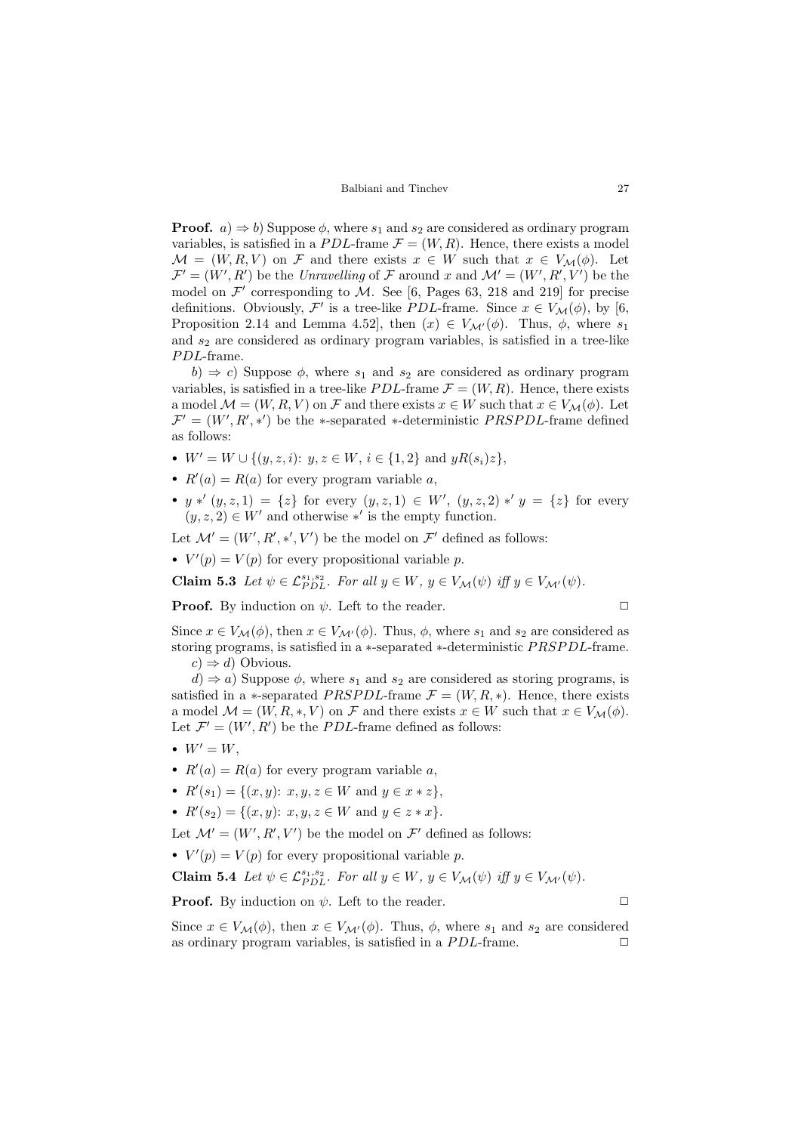**Proof.**  $a) \Rightarrow b$ ) Suppose  $\phi$ , where  $s_1$  and  $s_2$  are considered as ordinary program variables, is satisfied in a PDL-frame  $\mathcal{F} = (W, R)$ . Hence, there exists a model  $M = (W, R, V)$  on F and there exists  $x \in W$  such that  $x \in V_M(\phi)$ . Let  $\mathcal{F}' = (W', R')$  be the Unravelling of F around x and  $\mathcal{M}' = (W', R', V')$  be the model on  $\mathcal{F}'$  corresponding to M. See [\[6,](#page-16-16) Pages 63, 218 and 219] for precise definitions. Obviously,  $\mathcal{F}'$  is a tree-like *PDL*-frame. Since  $x \in V_{\mathcal{M}}(\phi)$ , by [\[6,](#page-16-16) Proposition 2.14 and Lemma 4.52], then  $(x) \in V_{\mathcal{M}'}(\phi)$ . Thus,  $\phi$ , where  $s_1$ and  $s_2$  are considered as ordinary program variables, is satisfied in a tree-like PDL-frame.

 $b) \Rightarrow c$ ) Suppose  $\phi$ , where  $s_1$  and  $s_2$  are considered as ordinary program variables, is satisfied in a tree-like *PDL*-frame  $\mathcal{F} = (W, R)$ . Hence, there exists a model  $\mathcal{M} = (W, R, V)$  on  $\mathcal F$  and there exists  $x \in W$  such that  $x \in V_{\mathcal{M}}(\phi)$ . Let  $\mathcal{F}' = (W', R', *)$  be the \*-separated \*-deterministic *PRSPDL*-frame defined as follows:

- $W' = W \cup \{(y, z, i): y, z \in W, i \in \{1, 2\} \text{ and } yR(s_i)z\},\$
- $R'(a) = R(a)$  for every program variable a,
- $y * (y, z, 1) = \{z\}$  for every  $(y, z, 1) \in W'$ ,  $(y, z, 2) * y = \{z\}$  for every  $(y, z, 2) \in W'$  and otherwise \*' is the empty function.

Let  $\mathcal{M}' = (W', R', *', V')$  be the model on  $\mathcal{F}'$  defined as follows:

•  $V'(p) = V(p)$  for every propositional variable p.

**Claim 5.3** Let  $\psi \in \mathcal{L}_{PDL}^{s_1, s_2}$ . For all  $y \in W$ ,  $y \in V_{\mathcal{M}}(\psi)$  iff  $y \in V_{\mathcal{M}'}(\psi)$ .

**Proof.** By induction on  $\psi$ . Left to the reader.  $\Box$ 

Since  $x \in V_{\mathcal{M}}(\phi)$ , then  $x \in V_{\mathcal{M}'}(\phi)$ . Thus,  $\phi$ , where  $s_1$  and  $s_2$  are considered as storing programs, is satisfied in a ∗-separated ∗-deterministic PRSPDL-frame.  $c) \Rightarrow d$ ) Obvious.

 $d) \Rightarrow a$ ) Suppose  $\phi$ , where  $s_1$  and  $s_2$  are considered as storing programs, is satisfied in a ∗-separated *PRSPDL*-frame  $\mathcal{F} = (W, R, *)$ . Hence, there exists a model  $\mathcal{M} = (W, R, *, V)$  on F and there exists  $x \in W$  such that  $x \in V_{\mathcal{M}}(\phi)$ . Let  $\mathcal{F}' = (W', R')$  be the *PDL*-frame defined as follows:

- $W' = W$ .
- $R'(a) = R(a)$  for every program variable a,
- $R'(s_1) = \{(x, y): x, y, z \in W \text{ and } y \in x * z\},\$
- $R'(s_2) = \{(x, y): x, y, z \in W \text{ and } y \in z * x\}.$

Let  $\mathcal{M}' = (W', R', V')$  be the model on  $\mathcal{F}'$  defined as follows:

•  $V'(p) = V(p)$  for every propositional variable p.

**Claim 5.4** Let  $\psi \in \mathcal{L}_{PDL}^{s_1, s_2}$ . For all  $y \in W$ ,  $y \in V_{\mathcal{M}}(\psi)$  iff  $y \in V_{\mathcal{M}'}(\psi)$ .

**Proof.** By induction on  $\psi$ . Left to the reader.  $\Box$ 

Since  $x \in V_{\mathcal{M}}(\phi)$ , then  $x \in V_{\mathcal{M}'}(\phi)$ . Thus,  $\phi$ , where  $s_1$  and  $s_2$  are considered as ordinary program variables, is satisfied in a PDL-frame.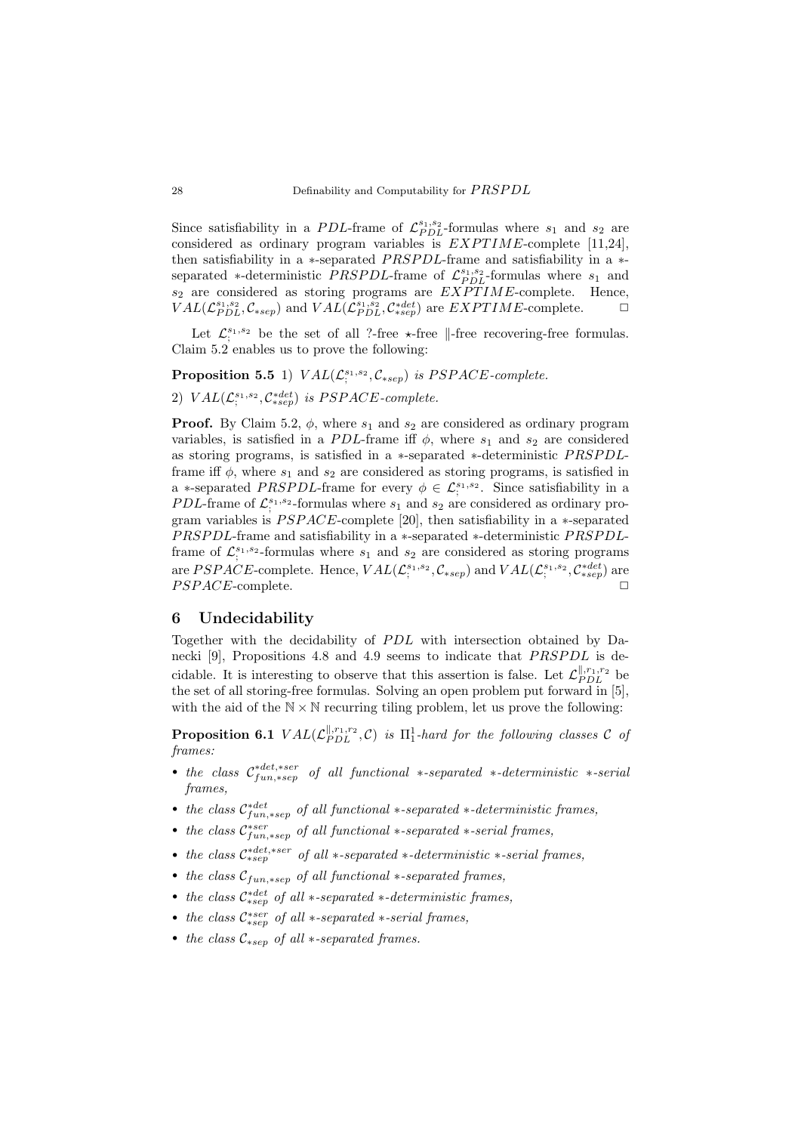Since satisfiability in a PDL-frame of  $\mathcal{L}_{PDL}^{s_1,s_2}$ -formulas where  $s_1$  and  $s_2$  are considered as ordinary program variables is  $EXPTIME$ -complete [\[11](#page-16-0)[,24\]](#page-17-3), then satisfiability in a  $*$ -separated *PRSPDL*-frame and satisfiability in a  $*$ separated  $*$ -deterministic *PRSPDL*-frame of  $\mathcal{L}_{PDL}^{s_1,s_2}$ -formulas where  $s_1$  and  $s_2$  are considered as storing programs are  $EXPTIME$ -complete. Hence,  $VAL(\mathcal{L}_{PDL}^{s_1,s_2}, \mathcal{C}_{*sep})$  and  $VAL(\mathcal{L}_{PDL}^{s_1,s_2}, \mathcal{C}_{*sep}^{*det})$  are  $EXPTIME$ -complete.  $\Box$ 

Let  $\mathcal{L}_{\xi}^{s_1,s_2}$  be the set of all ?-free  $\star$ -free  $\parallel$ -free recovering-free formulas. Claim [5.2](#page-10-1) enables us to prove the following:

**Proposition 5.5** 1)  $VAL(\mathcal{L}_i^{s_1,s_2}, \mathcal{C}_{*sep})$  is PSPACE-complete.

2)  $VAL(\mathcal{L}^{s_1,s_2}_{;}, \mathcal{C}^{*det}_{*sep})$  is PSPACE-complete.

**Proof.** By Claim [5.2,](#page-10-1)  $\phi$ , where  $s_1$  and  $s_2$  are considered as ordinary program variables, is satisfied in a PDL-frame iff  $\phi$ , where  $s_1$  and  $s_2$  are considered as storing programs, is satisfied in a ∗-separated ∗-deterministic P RSP DLframe iff  $\phi$ , where  $s_1$  and  $s_2$  are considered as storing programs, is satisfied in a ∗-separated PRSPDL-frame for every  $\phi \in \mathcal{L}_{\gamma}^{s_1, s_2}$ . Since satisfiability in a *PDL*-frame of  $\mathcal{L}^{s_1,s_2}_{;}$ -formulas where  $s_1$  and  $s_2$  are considered as ordinary program variables is  $PSPACE$ -complete [\[20\]](#page-17-4), then satisfiability in a  $*$ -separated PRSPDL-frame and satisfiability in a ∗-separated ∗-deterministic PRSPDLframe of  $\mathcal{L}_i^{s_1,s_2}$ -formulas where  $s_1$  and  $s_2$  are considered as storing programs are PSPACE-complete. Hence,  $VAL(\mathcal{L}_i^{s_1,s_2}, \mathcal{C}_{*sep})$  and  $VAL(\mathcal{L}_i^{s_1,s_2}, \mathcal{C}_{*sep}^{*det})$  are PSPACE-complete.

### <span id="page-12-0"></span>6 Undecidability

Together with the decidability of PDL with intersection obtained by Danecki  $[9]$ , Propositions [4.8](#page-9-0) and [4.9](#page-9-1) seems to indicate that *PRSPDL* is decidable. It is interesting to observe that this assertion is false. Let  $\mathcal{L}_{PDL}^{\parallel,r_1,r_2}$  be the set of all storing-free formulas. Solving an open problem put forward in [\[5\]](#page-16-5), with the aid of the  $N \times N$  recurring tiling problem, let us prove the following:

<span id="page-12-1"></span>**Proposition 6.1**  $VAL(\mathcal{L}_{PDL}^{\parallel,r_1,r_2}, \mathcal{C})$  is  $\Pi_1^1$ -hard for the following classes  $\mathcal{C}$  of frames:

- the class  $\mathcal{C}_{fun,\ast sep}^{*det,\ast ser}$  of all functional  $\ast\text{-}separated \ast\text{-}deterministic \ast\text{-}serial$ frames,
- the class  $\mathcal{C}_{fun, *sep}^{*det}$  of all functional  $*$ -separated  $*$ -deterministic frames,
- the class  $\mathcal{C}_{fun, *sep}^{*ser}$  of all functional  $*$ -separated  $*$ -serial frames,
- the class  $\mathcal{C}^{*det,*ser}_{*sep}$  of all  $*-separated *-deterministic *-serial frames$ ,
- the class  $C_{fun,*sep}$  of all functional  $*$ -separated frames,
- the class  $C_{*sep}^{*det}$  of all  $*-separated *-deterministic frames$ ,
- the class  $C^{*ser}_{*sep}$  of all  $*-separated *-serial frames$ ,
- the class  $\mathcal{C}_{*sen}$  of all  $*-separated$  frames.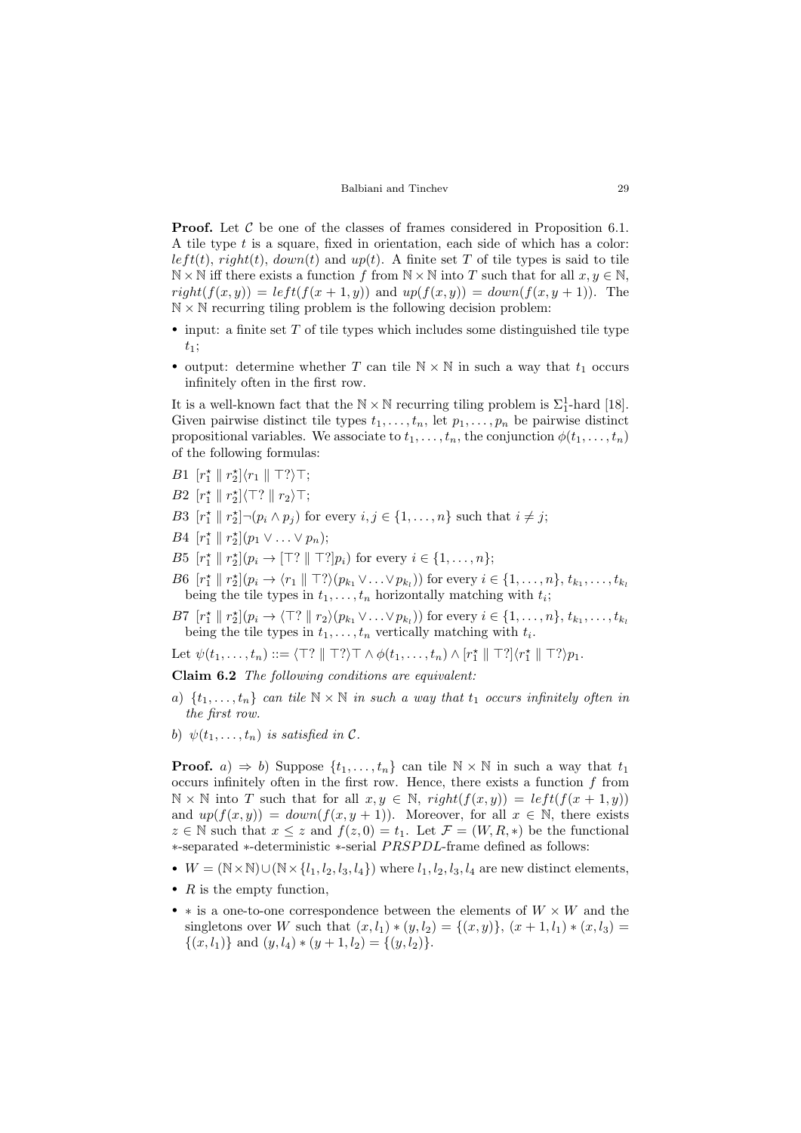**Proof.** Let  $\mathcal C$  be one of the classes of frames considered in Proposition [6.1.](#page-12-1) A tile type t is a square, fixed in orientation, each side of which has a color:  $left(t)$ ,  $right(t)$ ,  $down(t)$  and  $up(t)$ . A finite set T of tile types is said to tile  $\mathbb{N} \times \mathbb{N}$  iff there exists a function f from  $\mathbb{N} \times \mathbb{N}$  into T such that for all  $x, y \in \mathbb{N}$ ,  $right(f(x, y)) = left(f(x + 1, y))$  and  $up(f(x, y)) = down(f(x, y + 1))$ . The  $\mathbb{N} \times \mathbb{N}$  recurring tiling problem is the following decision problem:

- input: a finite set  $T$  of tile types which includes some distinguished tile type  $t_1$ ;
- output: determine whether T can tile  $\mathbb{N} \times \mathbb{N}$  in such a way that  $t_1$  occurs infinitely often in the first row.

It is a well-known fact that the  $\mathbb{N} \times \mathbb{N}$  recurring tiling problem is  $\Sigma_1^1$ -hard [\[18\]](#page-16-15). Given pairwise distinct tile types  $t_1, \ldots, t_n$ , let  $p_1, \ldots, p_n$  be pairwise distinct propositional variables. We associate to  $t_1, \ldots, t_n$ , the conjunction  $\phi(t_1, \ldots, t_n)$ of the following formulas:

- B1  $[r_1^* \parallel r_2^*] \langle r_1 \parallel \top? \rangle \top;$
- B2  $[r_1^* \parallel r_2^*] \langle \top? \parallel r_2 \rangle \top;$
- B3  $[r_1^* \mid r_2^*] \neg (p_i \wedge p_j)$  for every  $i, j \in \{1, ..., n\}$  such that  $i \neq j$ ;
- $B4 [r_1^* \| r_2^*](p_1 \vee ... \vee p_n);$
- B5  $[r_1^* \parallel r_2^*](p_i \rightarrow \lceil T^? \rceil \parallel T^?]p_i)$  for every  $i \in \{1, ..., n\};$
- B6  $[r_1^* \mid r_2^*](p_i \to \langle r_1 \mid \top? \rangle (p_{k_1} \vee \ldots \vee p_{k_l}))$  for every  $i \in \{1, \ldots, n\}, t_{k_1}, \ldots, t_{k_l}$ being the tile types in  $t_1, \ldots, t_n$  horizontally matching with  $t_i$ ;
- B7  $[r_1^* \mid r_2^*](p_i \to \langle T? \mid r_2 \rangle (p_{k_1} \vee \ldots \vee p_{k_l}))$  for every  $i \in \{1, \ldots, n\}, t_{k_1}, \ldots, t_{k_l}$ being the tile types in  $t_1, \ldots, t_n$  vertically matching with  $t_i$ .

Let  $\psi(t_1,\ldots,t_n) ::= \langle \top? \parallel \top? \rangle \top \wedge \phi(t_1,\ldots,t_n) \wedge [r_1^* \parallel \top?] \langle r_1^* \parallel \top? \rangle p_1.$ 

Claim 6.2 The following conditions are equivalent:

- a)  $\{t_1, \ldots, t_n\}$  can tile  $\mathbb{N} \times \mathbb{N}$  in such a way that  $t_1$  occurs infinitely often in the first row.
- b)  $\psi(t_1,\ldots,t_n)$  is satisfied in C.

**Proof.** a)  $\Rightarrow$  b) Suppose  $\{t_1, \ldots, t_n\}$  can tile  $\mathbb{N} \times \mathbb{N}$  in such a way that  $t_1$ occurs infinitely often in the first row. Hence, there exists a function  $f$  from  $\mathbb{N} \times \mathbb{N}$  into T such that for all  $x, y \in \mathbb{N}$ ,  $right(f(x, y)) = left(f(x + 1, y))$ and  $up(f(x, y)) = down(f(x, y + 1))$ . Moreover, for all  $x \in \mathbb{N}$ , there exists  $z \in \mathbb{N}$  such that  $x \leq z$  and  $f(z, 0) = t_1$ . Let  $\mathcal{F} = (W, R, *)$  be the functional ∗-separated ∗-deterministic ∗-serial P RSP DL-frame defined as follows:

- $W = (\mathbb{N} \times \mathbb{N}) \cup (\mathbb{N} \times \{l_1, l_2, l_3, l_4\})$  where  $l_1, l_2, l_3, l_4$  are new distinct elements,
- $R$  is the empty function,
- $*$  is a one-to-one correspondence between the elements of  $W \times W$  and the singletons over W such that  $(x, l_1) * (y, l_2) = \{(x, y)\}, (x + 1, l_1) * (x, l_3) =$  $\{(x, l_1)\}\$ and  $(y, l_4) * (y + 1, l_2) = \{(y, l_2)\}.$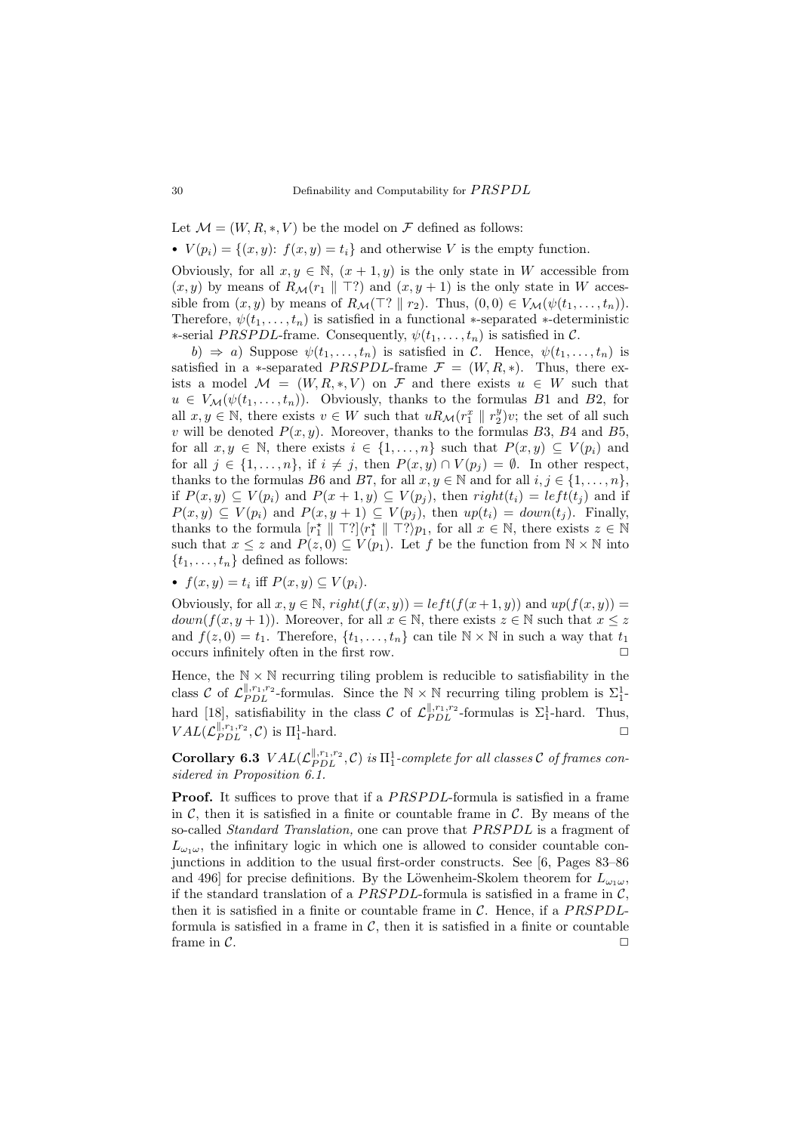Let  $\mathcal{M} = (W, R, *, V)$  be the model on  $\mathcal F$  defined as follows:

•  $V(p_i) = \{(x, y): f(x, y) = t_i\}$  and otherwise V is the empty function.

Obviously, for all  $x, y \in \mathbb{N}$ ,  $(x + 1, y)$  is the only state in W accessible from  $(x, y)$  by means of  $R_M(r_1 \parallel T?)$  and  $(x, y + 1)$  is the only state in W accessible from  $(x, y)$  by means of  $R_{\mathcal{M}}(\top ? \parallel r_2)$ . Thus,  $(0, 0) \in V_{\mathcal{M}}(\psi(t_1, \ldots, t_n))$ . Therefore,  $\psi(t_1, \ldots, t_n)$  is satisfied in a functional ∗-separated ∗-deterministic ∗-serial PRSPDL-frame. Consequently,  $\psi(t_1, \ldots, t_n)$  is satisfied in C.

b)  $\Rightarrow$  a) Suppose  $\psi(t_1,\ldots,t_n)$  is satisfied in C. Hence,  $\psi(t_1,\ldots,t_n)$  is satisfied in a ∗-separated *PRSPDL*-frame  $\mathcal{F} = (W, R, *)$ . Thus, there exists a model  $\mathcal{M} = (W, R, *, V)$  on  $\mathcal F$  and there exists  $u \in W$  such that  $u \in V_{\mathcal{M}}(\psi(t_1,\ldots,t_n)).$  Obviously, thanks to the formulas B1 and B2, for all  $x, y \in \mathbb{N}$ , there exists  $v \in W$  such that  $uR_M(r_1^x \parallel r_2^y)v$ ; the set of all such v will be denoted  $P(x, y)$ . Moreover, thanks to the formulas B3, B4 and B5, for all  $x, y \in \mathbb{N}$ , there exists  $i \in \{1, \ldots, n\}$  such that  $P(x, y) \subseteq V(p_i)$  and for all  $j \in \{1, \ldots, n\}$ , if  $i \neq j$ , then  $P(x, y) \cap V(p_i) = \emptyset$ . In other respect, thanks to the formulas B6 and B7, for all  $x, y \in \mathbb{N}$  and for all  $i, j \in \{1, \ldots, n\}$ , if  $P(x, y) \subseteq V(p_i)$  and  $P(x + 1, y) \subseteq V(p_i)$ , then  $right(t_i) = left(t_i)$  and if  $P(x,y) \subseteq V(p_i)$  and  $P(x,y+1) \subseteq V(p_j)$ , then  $up(t_i) = down(t_j)$ . Finally, thanks to the formula  $[r_1^* \parallel \top?]\langle r_1^* \parallel \top? \rangle p_1$ , for all  $x \in \mathbb{N}$ , there exists  $z \in \mathbb{N}$ such that  $x \leq z$  and  $P(z, 0) \subseteq V(p_1)$ . Let f be the function from  $\mathbb{N} \times \mathbb{N}$  into  $\{t_1, \ldots, t_n\}$  defined as follows:

•  $f(x, y) = t_i$  iff  $P(x, y) \subseteq V(p_i)$ .

Obviously, for all  $x, y \in \mathbb{N}$ ,  $right(f(x, y)) = left(f(x + 1, y))$  and  $up(f(x, y)) =$  $down(f(x, y + 1))$ . Moreover, for all  $x \in \mathbb{N}$ , there exists  $z \in \mathbb{N}$  such that  $x \leq z$ and  $f(z, 0) = t_1$ . Therefore,  $\{t_1, \ldots, t_n\}$  can tile  $\mathbb{N} \times \mathbb{N}$  in such a way that  $t_1$ occurs infinitely often in the first row.

Hence, the  $N \times N$  recurring tiling problem is reducible to satisfiability in the class C of  $\mathcal{L}_{PDL}^{||,r_1,r_2}$ -formulas. Since the  $\mathbb{N} \times \mathbb{N}$  recurring tiling problem is  $\Sigma_1^1$ -hard [\[18\]](#page-16-15), satisfiability in the class C of  $\mathcal{L}_{PDL}^{\parallel,r_1,r_2}$ -formulas is  $\Sigma_1^1$ -hard. Thus,  $VAL(\mathcal{L}_{PDL}^{\parallel,r_1,r_2}, \mathcal{C})$  is  $\Pi_1^1$ -hard.

<span id="page-14-0"></span>Corollary 6.3  $VAL(\mathcal{L}_{PDL}^{\parallel,r_1,r_2}, \mathcal{C})$  is  $\Pi_1^1$ -complete for all classes  $\mathcal C$  of frames considered in Proposition [6.1.](#page-12-1)

**Proof.** It suffices to prove that if a *PRSPDL*-formula is satisfied in a frame in  $\mathcal{C}$ , then it is satisfied in a finite or countable frame in  $\mathcal{C}$ . By means of the so-called *Standard Translation*, one can prove that *PRSPDL* is a fragment of  $L_{\omega_1\omega}$ , the infinitary logic in which one is allowed to consider countable conjunctions in addition to the usual first-order constructs. See [\[6,](#page-16-16) Pages 83–86 and 496] for precise definitions. By the Löwenheim-Skolem theorem for  $L_{\omega_1\omega}$ , if the standard translation of a  $P RSPDL$ -formula is satisfied in a frame in C, then it is satisfied in a finite or countable frame in  $\mathcal{C}$ . Hence, if a PRSPDLformula is satisfied in a frame in  $C$ , then it is satisfied in a finite or countable frame in  $\mathcal{C}$ .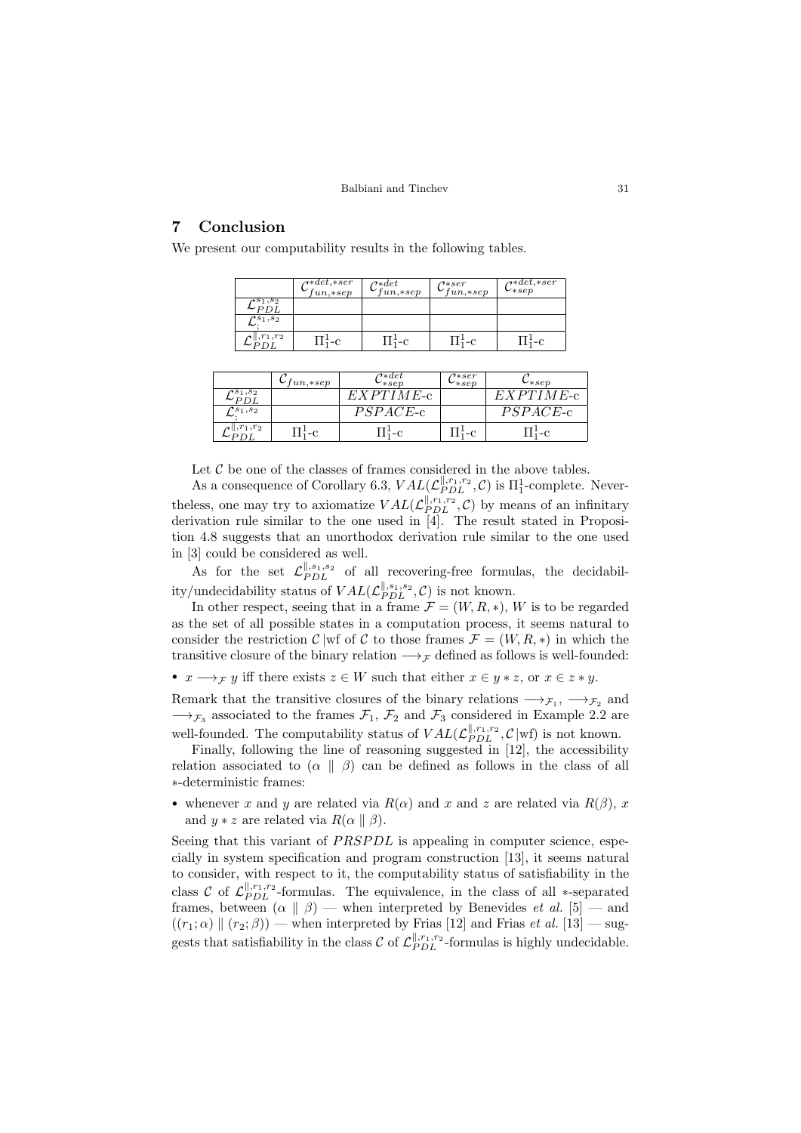# 7 Conclusion

We present our computability results in the following tables.

|                                                         | $\alpha * det, * ser$<br>$\mathcal{L}_{fun, *sep}$ | $\sigma * det$<br>$\mathcal{L}_{fun, *sep}$ | $\tau$ *ser<br>$\mathcal{L}_{fun, *sep}$ | $\sigma^*$ det, $*ser$<br>$\mathbf{v}_{*sep}$ |
|---------------------------------------------------------|----------------------------------------------------|---------------------------------------------|------------------------------------------|-----------------------------------------------|
| $\mathfrak{s}_1,\!s_2$<br>$\mathtt{\small \verb!-PDL!}$ |                                                    |                                             |                                          |                                               |
| $\mathcal{C}^{s_1,s_2}$                                 |                                                    |                                             |                                          |                                               |
| $, r_1, r_2$                                            |                                                    |                                             |                                          | $-c$                                          |

|                         | $_{fun, \ast sep}$ | $\scriptstyle{\textcolor{red}{\tau}\ast det}$<br>$\ast sep$ | $\tau * s$ er<br>$^{\prime }*sep$ | $\cup_{*sep}$               |
|-------------------------|--------------------|-------------------------------------------------------------|-----------------------------------|-----------------------------|
| $\overline{r}s_1,s_2$   |                    | EXPTIME-c                                                   |                                   | $EXYPTIME_C$                |
| $\mathcal{C}^{s_1,s_2}$ |                    | $PSPACE-c$                                                  |                                   | $\it{PSPACE}\text{-}\rm{c}$ |
| $, r_1, r_2$            | -C                 | $1\frac{1}{2} - C$                                          |                                   | $\pm$ -C                    |

Let  $C$  be one of the classes of frames considered in the above tables.

As a consequence of Corollary [6.3,](#page-14-0)  $VAL(\mathcal{L}_{PDL}^{\parallel,r_1,r_2}, \mathcal{C})$  is  $\Pi_1^1$ -complete. Neverthe ess, one may try to axiomatize  $VAL(\mathcal{L}_{PDL}^{\parallel,r_1,r_2}, \mathcal{C})$  by means of an infinitary derivation rule similar to the one used in [\[4\]](#page-16-4). The result stated in Proposition [4.8](#page-9-0) suggests that an unorthodox derivation rule similar to the one used in [\[3\]](#page-16-3) could be considered as well.

As for the set  $\mathcal{L}_{PDL}^{\parallel,s_1,s_2}$  of all recovering-free formulas, the decidability/undecidability status of  $VAL(\mathcal{L}_{PDL}^{\parallel,s_1,s_2}, \mathcal{C})$  is not known.

In other respect, seeing that in a frame  $\mathcal{F} = (W, R, *)$ , W is to be regarded as the set of all possible states in a computation process, it seems natural to consider the restriction C |wf of C to those frames  $\mathcal{F} = (W, R, *)$  in which the transitive closure of the binary relation  $\longrightarrow_{\mathcal{F}}$  defined as follows is well-founded:

•  $x \longrightarrow_{\mathcal{F}} y$  iff there exists  $z \in W$  such that either  $x \in y * z$ , or  $x \in z * y$ .

Remark that the transitive closures of the binary relations  $\longrightarrow_{\mathcal{F}_1}$ ,  $\longrightarrow_{\mathcal{F}_2}$  and  $\longrightarrow_{\mathcal{F}_3}$  associated to the frames  $\mathcal{F}_1$ ,  $\mathcal{F}_2$  and  $\mathcal{F}_3$  considered in Example [2.2](#page-3-0) are well-founded. The computability status of  $VAL(\mathcal{L}_{PDL}^{\parallel,r_1,r_2}, \mathcal{C} | \text{wf})$  is not known.

Finally, following the line of reasoning suggested in [\[12\]](#page-16-13), the accessibility relation associated to  $(\alpha \parallel \beta)$  can be defined as follows in the class of all ∗-deterministic frames:

• whenever x and y are related via  $R(\alpha)$  and x and z are related via  $R(\beta)$ , x and  $y * z$  are related via  $R(\alpha \parallel \beta)$ .

Seeing that this variant of  $PRSPDL$  is appealing in computer science, especially in system specification and program construction [\[13\]](#page-16-14), it seems natural to consider, with respect to it, the computability status of satisfiability in the class C of  $\mathcal{L}_{PDL}^{\parallel,r_1,r_2}$ -formulas. The equivalence, in the class of all ∗-separated frames, between  $(\alpha \parallel \beta)$  — when interpreted by Benevides *et al.* [\[5\]](#page-16-5) — and  $((r_1;\alpha) \parallel (r_2;\beta))$  — when interpreted by Frias [\[12\]](#page-16-13) and Frias et al. [\[13\]](#page-16-14) — suggests that satisfiability in the class  $\mathcal{C}$  of  $\mathcal{L}_{PDL}^{\parallel,r_1,r_2}$ -formulas is highly undecidable.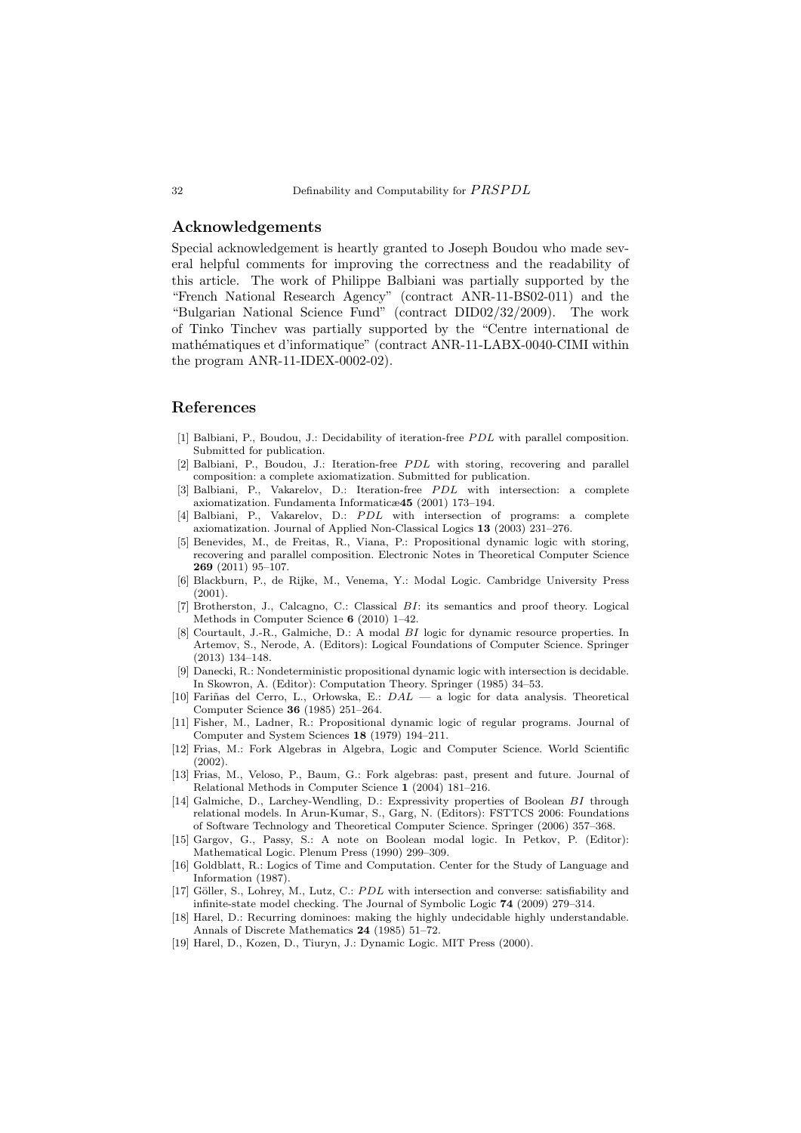# Acknowledgements

Special acknowledgement is heartly granted to Joseph Boudou who made several helpful comments for improving the correctness and the readability of this article. The work of Philippe Balbiani was partially supported by the "French National Research Agency" (contract ANR-11-BS02-011) and the "Bulgarian National Science Fund" (contract DID02/32/2009). The work of Tinko Tinchev was partially supported by the "Centre international de mathématiques et d'informatique" (contract ANR-11-LABX-0040-CIMI within the program ANR-11-IDEX-0002-02).

### References

- [1] Balbiani, P., Boudou, J.: Decidability of iteration-free *PDL* with parallel composition. Submitted for publication.
- [2] Balbiani, P., Boudou, J.: Iteration-free PDL with storing, recovering and parallel composition: a complete axiomatization. Submitted for publication.
- <span id="page-16-3"></span>[3] Balbiani, P., Vakarelov, D.: Iteration-free PDL with intersection: a complete axiomatization. Fundamenta Informaticæ45 (2001) 173–194.
- <span id="page-16-4"></span>[4] Balbiani, P., Vakarelov, D.: PDL with intersection of programs: a complete axiomatization. Journal of Applied Non-Classical Logics 13 (2003) 231–276.
- <span id="page-16-5"></span>[5] Benevides, M., de Freitas, R., Viana, P.: Propositional dynamic logic with storing, recovering and parallel composition. Electronic Notes in Theoretical Computer Science 269 (2011) 95–107.
- <span id="page-16-16"></span>[6] Blackburn, P., de Rijke, M., Venema, Y.: Modal Logic. Cambridge University Press (2001).
- <span id="page-16-10"></span>[7] Brotherston, J., Calcagno, C.: Classical BI: its semantics and proof theory. Logical Methods in Computer Science 6 (2010) 1–42.
- <span id="page-16-11"></span>[8] Courtault, J.-R., Galmiche, D.: A modal BI logic for dynamic resource properties. In Artemov, S., Nerode, A. (Editors): Logical Foundations of Computer Science. Springer (2013) 134–148.
- <span id="page-16-6"></span>Danecki, R.: Nondeterministic propositional dynamic logic with intersection is decidable. In Skowron, A. (Editor): Computation Theory. Springer (1985) 34–53.
- <span id="page-16-7"></span>[10] Fariñas del Cerro, L., Orłowska, E.:  $DAL - a logic$  for data analysis. Theoretical Computer Science 36 (1985) 251–264.
- <span id="page-16-0"></span>[11] Fisher, M., Ladner, R.: Propositional dynamic logic of regular programs. Journal of Computer and System Sciences 18 (1979) 194–211.
- <span id="page-16-13"></span>[12] Frias, M.: Fork Algebras in Algebra, Logic and Computer Science. World Scientific (2002).
- <span id="page-16-14"></span>[13] Frias, M., Veloso, P., Baum, G.: Fork algebras: past, present and future. Journal of Relational Methods in Computer Science 1 (2004) 181–216.
- <span id="page-16-12"></span>[14] Galmiche, D., Larchey-Wendling, D.: Expressivity properties of Boolean BI through relational models. In Arun-Kumar, S., Garg, N. (Editors): FSTTCS 2006: Foundations of Software Technology and Theoretical Computer Science. Springer (2006) 357–368.
- <span id="page-16-8"></span>[15] Gargov, G., Passy, S.: A note on Boolean modal logic. In Petkov, P. (Editor): Mathematical Logic. Plenum Press (1990) 299–309.
- <span id="page-16-1"></span>[16] Goldblatt, R.: Logics of Time and Computation. Center for the Study of Language and Information (1987).
- <span id="page-16-9"></span>[17] Göller, S., Lohrey, M., Lutz, C.: PDL with intersection and converse: satisfiability and infinite-state model checking. The Journal of Symbolic Logic 74 (2009) 279–314.
- <span id="page-16-15"></span>[18] Harel, D.: Recurring dominoes: making the highly undecidable highly understandable. Annals of Discrete Mathematics 24 (1985) 51–72.
- <span id="page-16-2"></span>[19] Harel, D., Kozen, D., Tiuryn, J.: Dynamic Logic. MIT Press (2000).